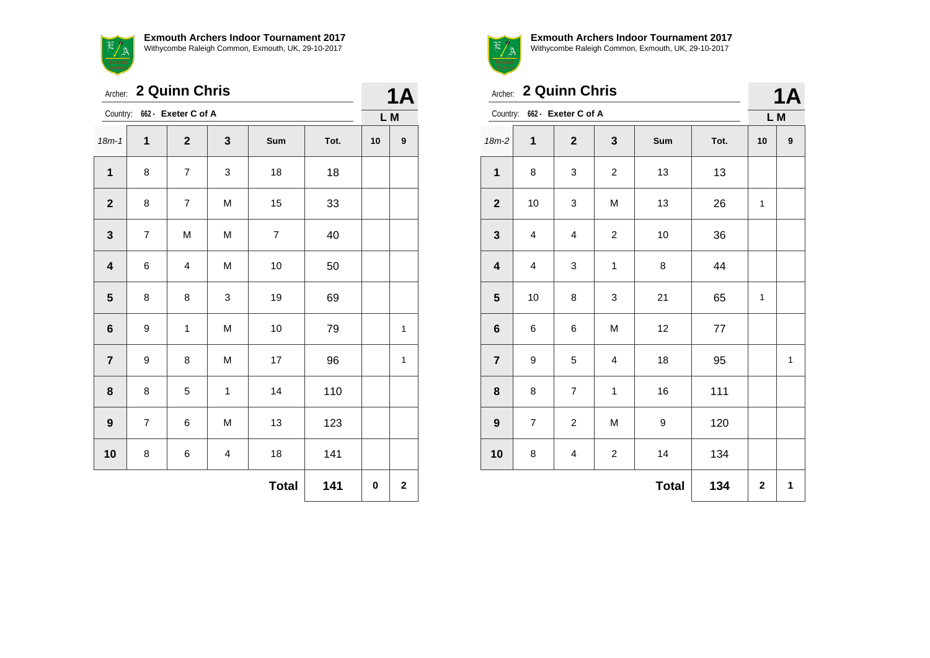**Exmouth Archers Indoor Tournament 2017** with critic combined and commons of the Raleigh Common, Exmouth, UK, 29-10-2017

|         | Withycombe            |  |
|---------|-----------------------|--|
|         | Archer: 2 Quinn       |  |
|         | Country: 662 - Exeter |  |
| $18m-1$ |                       |  |

|                         | Archer: 2 Quinn Chris    |                              |                         |                          |      |     |                  |  |
|-------------------------|--------------------------|------------------------------|-------------------------|--------------------------|------|-----|------------------|--|
|                         |                          | Country: 662 - Exeter C of A |                         |                          |      | L M |                  |  |
| $18m - 1$               | 1                        | $\mathbf{2}$                 | 3                       | Sum                      | Tot. | 10  | $\boldsymbol{9}$ |  |
| $\mathbf 1$             | 8                        | $\overline{7}$               | 3                       | 18                       | 18   |     |                  |  |
| $\mathbf{2}$            | 8                        | $\overline{7}$               | M                       | 15                       | 33   |     |                  |  |
| $\mathbf 3$             | $\overline{\mathcal{I}}$ | M                            | M                       | $\overline{\mathcal{I}}$ | 40   |     |                  |  |
| $\overline{\mathbf{4}}$ | 6                        | $\overline{\mathbf{4}}$      | M                       | 10                       | 50   |     |                  |  |
| $\overline{\mathbf{5}}$ | 8                        | 8                            | 3                       | 19                       | 69   |     |                  |  |
| $\bf 6$                 | 9                        | $\mathbf{1}$                 | M                       | 10                       | 79   |     | 1                |  |
| $\overline{7}$          | 9                        | 8                            | M                       | 17                       | 96   |     | $\mathbf{1}$     |  |
| 8                       | 8                        | 5                            | $\mathbf 1$             | 14                       | 110  |     |                  |  |
| $\boldsymbol{9}$        | $\overline{7}$           | 6                            | M                       | 13                       | 123  |     |                  |  |
| 10                      | 8                        | 6                            | $\overline{\mathbf{4}}$ | 18                       | 141  |     |                  |  |
|                         |                          |                              |                         | <b>Total</b>             | 141  | 0   | $\mathbf 2$      |  |



**Exmouth Archers Indoor Tournament 2017** Withycombe Raleigh Common, Exmouth, UK, 29-10-2017

| Archer: 2 Quinn Chris |  |
|-----------------------|--|

**1A**

|                         |                         | Country: 662 - Exeter C of A |                         |              |         | L M         |   |
|-------------------------|-------------------------|------------------------------|-------------------------|--------------|---------|-------------|---|
| $18m-2$                 | 1                       | $\mathbf{2}$                 | 3                       | Sum          | Tot.    | 10          | 9 |
| $\mathbf{1}$            | 8                       | 3                            | $\overline{\mathbf{c}}$ | 13           | 13      |             |   |
| $\boldsymbol{2}$        | 10                      | 3                            | M                       | 13           | 26      | 1           |   |
| $\mathbf{3}$            | $\overline{\mathbf{4}}$ | $\overline{\mathbf{4}}$      | $\overline{c}$          | 10           | 36      |             |   |
| $\overline{\mathbf{4}}$ | $\overline{\mathbf{4}}$ | 3                            | $\mathbf 1$             | 8            | 44      |             |   |
| ${\bf 5}$               | 10                      | 8                            | 3                       | 21           | 65      | 1           |   |
| $\bf 6$                 | 6                       | 6                            | M                       | 12           | $77 \,$ |             |   |
| $\overline{\mathbf{7}}$ | 9                       | 5                            | 4                       | 18           | 95      |             | 1 |
| ${\bf 8}$               | 8                       | $\boldsymbol{7}$             | $\mathbf 1$             | 16           | 111     |             |   |
| $\boldsymbol{9}$        | $\overline{7}$          | $\overline{c}$               | M                       | 9            | 120     |             |   |
| 10                      | 8                       | 4                            | $\overline{\mathbf{c}}$ | 14           | 134     |             |   |
|                         |                         |                              |                         | <b>Total</b> | 134     | $\mathbf 2$ | 1 |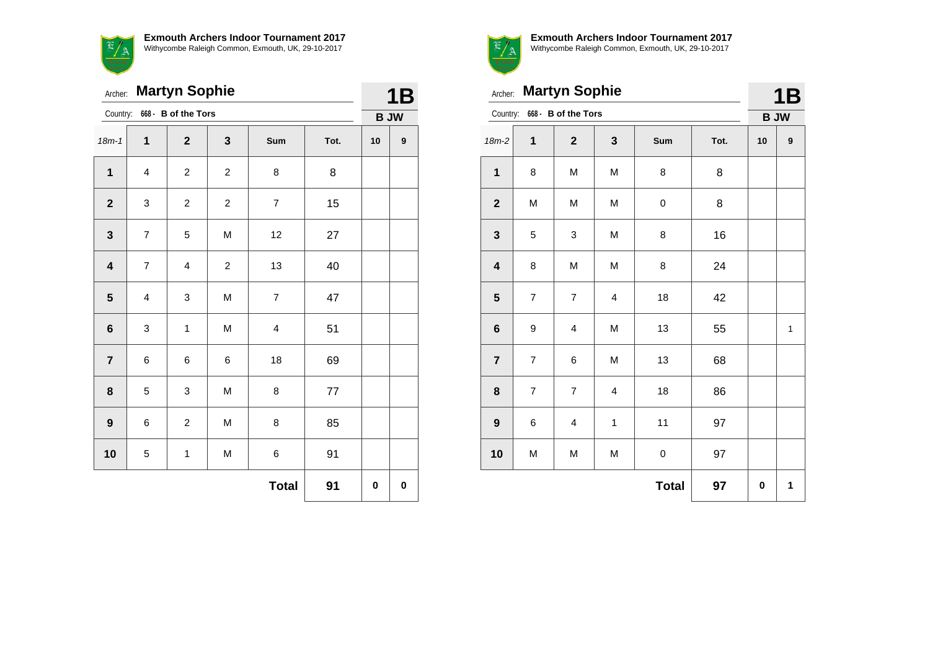$\frac{f}{f}$ 

**Exmouth Archers Indoor Tournament 2017** Withycombe Raleigh Common, Exmouth, UK, 29-10-2017

|                         | <b>Martyn Sophie</b><br>Archer: |                         |                |                |      |    |             |  |
|-------------------------|---------------------------------|-------------------------|----------------|----------------|------|----|-------------|--|
| Country:                |                                 | 668 - B of the Tors     |                |                |      |    | <b>B JW</b> |  |
| $18m - 1$               | $\mathbf{1}$                    | $\mathbf{2}$            | 3              | Sum            | Tot. | 10 | 9           |  |
| $\mathbf{1}$            | $\overline{\mathbf{4}}$         | $\overline{c}$          | $\overline{c}$ | 8              | 8    |    |             |  |
| $\mathbf{2}$            | 3                               | $\overline{c}$          | $\overline{c}$ | $\overline{7}$ | 15   |    |             |  |
| $\mathbf{3}$            | $\overline{\mathcal{I}}$        | 5                       | M              | 12             | 27   |    |             |  |
| $\overline{\mathbf{4}}$ | $\overline{7}$                  | $\overline{\mathbf{4}}$ | $\overline{c}$ | 13             | 40   |    |             |  |
| $\overline{\mathbf{5}}$ | $\overline{\mathbf{4}}$         | 3                       | M              | $\overline{7}$ | 47   |    |             |  |
| $\bf 6$                 | 3                               | $\mathbf{1}$            | M              | 4              | 51   |    |             |  |
| $\overline{7}$          | 6                               | 6                       | 6              | 18             | 69   |    |             |  |
| 8                       | 5                               | 3                       | M              | 8              | 77   |    |             |  |
| $\mathbf{9}$            | 6                               | $\overline{c}$          | M              | 8              | 85   |    |             |  |
| 10                      | 5                               | $\mathbf 1$             | M              | 6              | 91   |    |             |  |
|                         |                                 |                         |                | <b>Total</b>   | 91   | 0  | 0           |  |



|                         | <b>Martyn Sophie</b><br>Archer: |                              |                         |              |      |    |              |  |
|-------------------------|---------------------------------|------------------------------|-------------------------|--------------|------|----|--------------|--|
|                         |                                 | Country: 668 - B of the Tors |                         |              |      | 1B | <b>B JW</b>  |  |
| $18m-2$                 | 1                               | $\overline{2}$               | 3                       | Sum          | Tot. | 10 | 9            |  |
| $\mathbf{1}$            | 8                               | M                            | M                       | 8            | 8    |    |              |  |
| $\mathbf{2}$            | M                               | M                            | M                       | $\pmb{0}$    | 8    |    |              |  |
| $\mathbf{3}$            | 5                               | 3                            | M                       | 8            | 16   |    |              |  |
| $\overline{\mathbf{4}}$ | 8                               | M                            | M                       | 8            | 24   |    |              |  |
| 5                       | $\overline{7}$                  | $\overline{7}$               | $\overline{\mathbf{4}}$ | 18           | 42   |    |              |  |
| $\bf 6$                 | 9                               | $\overline{\mathbf{4}}$      | M                       | 13           | 55   |    | $\mathbf{1}$ |  |
| $\overline{7}$          | $\overline{7}$                  | 6                            | M                       | 13           | 68   |    |              |  |
| 8                       | $\overline{7}$                  | $\overline{7}$               | 4                       | 18           | 86   |    |              |  |
| 9                       | 6                               | 4                            | 1                       | 11           | 97   |    |              |  |
| 10                      | M                               | M                            | M                       | $\mathbf 0$  | 97   |    |              |  |
|                         |                                 |                              |                         | <b>Total</b> | 97   | 0  | 1            |  |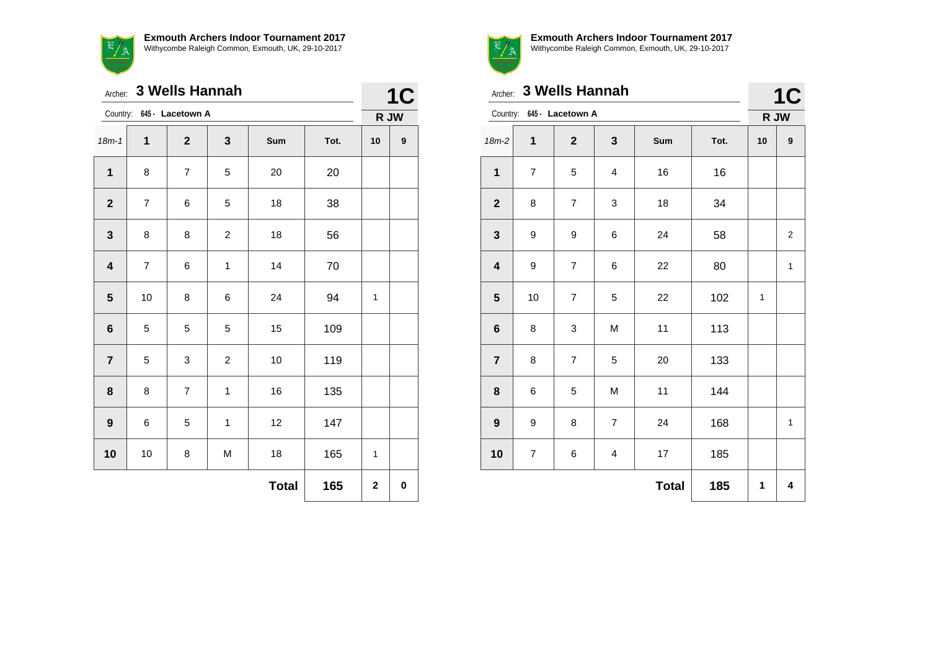

Archer: **3 Wells Hannah**

**1C**

|                  | Country:<br>645 - Lacetown A |                         |                |              | R JW   |    |                  |
|------------------|------------------------------|-------------------------|----------------|--------------|--------|----|------------------|
| $18m - 1$        | 1                            | $\mathbf 2$             | $\mathbf 3$    | Sum          | Tot.   | 10 | $\boldsymbol{9}$ |
| $\mathbf 1$      | 8                            | $\overline{\mathbf{7}}$ | 5              | 20           | 20     |    |                  |
| $\boldsymbol{2}$ | $\overline{\mathbf{7}}$      | 6                       | 5              | 18           | 38     |    |                  |
| 3                | 8                            | 8                       | $\overline{c}$ | 18           | 56     |    |                  |
| 4                | $\boldsymbol{7}$             | 6                       | $\mathbf{1}$   | 14           | $70\,$ |    |                  |
| 5                | 10                           | 8                       | 6              | 24           | 94     | 1  |                  |
| 6                | 5                            | 5                       | 5              | 15           | 109    |    |                  |
| 7                | 5                            | 3                       | $\overline{c}$ | $10$         | 119    |    |                  |
| 8                | 8                            | $\overline{\mathbf{7}}$ | $\mathbf{1}$   | 16           | 135    |    |                  |
| 9                | 6                            | 5                       | $\mathbf 1$    | 12           | 147    |    |                  |
| 10               | $10\,$                       | 8                       | M              | 18           | 165    | 1  |                  |
|                  |                              |                         |                | <b>Total</b> | 165    | 2  | 0                |



**Exmouth Archers Indoor Tournament 2017** Withycombe Raleigh Common, Exmouth, UK, 29-10-2017

**1C** 

|                         | Archer: 3 Wells Hannah |                           |                |              |      |    |                   |  |
|-------------------------|------------------------|---------------------------|----------------|--------------|------|----|-------------------|--|
|                         |                        | Country: 645 - Lacetown A |                |              |      |    | <b>1C</b><br>R JW |  |
| $18m-2$                 | $\mathbf{1}$           | $\mathbf{2}$              | 3              | Sum          | Tot. | 10 | $\boldsymbol{9}$  |  |
| $\mathbf 1$             | $\overline{7}$         | 5                         | 4              | 16           | 16   |    |                   |  |
| $\boldsymbol{2}$        | 8                      | $\overline{7}$            | 3              | 18           | 34   |    |                   |  |
| $\mathbf{3}$            | 9                      | 9                         | 6              | 24           | 58   |    | $\boldsymbol{2}$  |  |
| $\overline{\mathbf{4}}$ | 9                      | $\overline{\mathcal{I}}$  | 6              | 22           | 80   |    | $\mathbf{1}$      |  |
| 5                       | 10                     | $\overline{7}$            | 5              | 22           | 102  | 1  |                   |  |
| $\bf 6$                 | 8                      | 3                         | M              | 11           | 113  |    |                   |  |
| $\overline{7}$          | 8                      | $\overline{7}$            | 5              | 20           | 133  |    |                   |  |
| 8                       | 6                      | 5                         | M              | 11           | 144  |    |                   |  |
| 9                       | 9                      | 8                         | $\overline{7}$ | 24           | 168  |    | $\mathbf{1}$      |  |
| 10                      | $\overline{7}$         | 6                         | 4              | 17           | 185  |    |                   |  |
|                         |                        |                           |                | <b>Total</b> | 185  | 1  | 4                 |  |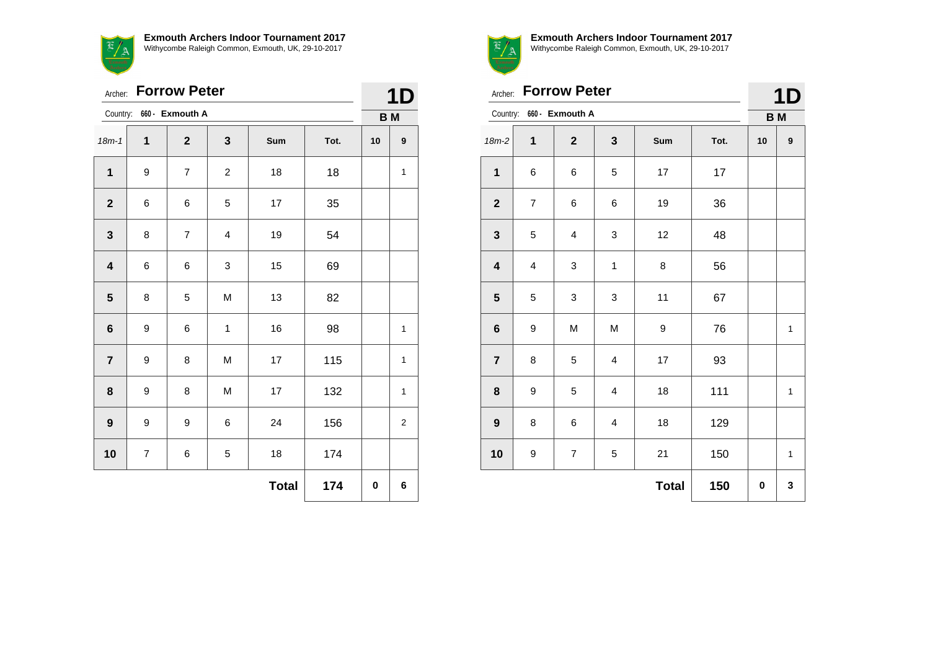

|                         | <b>Forrow Peter</b><br>Archer:<br>Country:<br>660 - Exmouth A<br>$\overline{\mathbf{2}}$<br>$\mathbf{3}$<br>$\mathbf{1}$<br>Sum<br>Tot.<br>$\overline{7}$<br>18<br>$\mathbf{1}$<br>9<br>$\boldsymbol{2}$<br>18<br>$\boldsymbol{2}$<br>35<br>6<br>5<br>17<br>6<br>$\mathbf 3$<br>$\overline{\mathbf{7}}$<br>54<br>8<br>$\overline{\mathbf{4}}$<br>19 |   |              |              |     |    |              |  |
|-------------------------|-----------------------------------------------------------------------------------------------------------------------------------------------------------------------------------------------------------------------------------------------------------------------------------------------------------------------------------------------------|---|--------------|--------------|-----|----|--------------|--|
|                         |                                                                                                                                                                                                                                                                                                                                                     |   |              |              |     |    | <b>BM</b>    |  |
| $18m - 1$               |                                                                                                                                                                                                                                                                                                                                                     |   |              |              |     | 10 | 9            |  |
|                         |                                                                                                                                                                                                                                                                                                                                                     |   |              |              |     |    | $\mathbf{1}$ |  |
|                         |                                                                                                                                                                                                                                                                                                                                                     |   |              |              |     |    |              |  |
|                         |                                                                                                                                                                                                                                                                                                                                                     |   |              |              |     |    |              |  |
| $\overline{\mathbf{4}}$ | 6                                                                                                                                                                                                                                                                                                                                                   | 6 | 3            | 15           | 69  |    |              |  |
| $\overline{\mathbf{5}}$ | 8                                                                                                                                                                                                                                                                                                                                                   | 5 | M            | 13           | 82  |    |              |  |
| $\bf 6$                 | 9                                                                                                                                                                                                                                                                                                                                                   | 6 | $\mathbf{1}$ | 16           | 98  |    | $\mathbf{1}$ |  |
| $\overline{7}$          | 9                                                                                                                                                                                                                                                                                                                                                   | 8 | M            | 17           | 115 |    | 1            |  |
| 8                       | $\boldsymbol{9}$                                                                                                                                                                                                                                                                                                                                    | 8 | M            | 17           | 132 |    | $\mathbf{1}$ |  |
| $\boldsymbol{9}$        | 9                                                                                                                                                                                                                                                                                                                                                   | 9 | 6            | 24           | 156 |    | 2            |  |
| 10                      | $\overline{7}$                                                                                                                                                                                                                                                                                                                                      | 6 | 5            | 18           | 174 |    |              |  |
|                         |                                                                                                                                                                                                                                                                                                                                                     |   |              | <b>Total</b> | 174 | 0  | 6            |  |



Archer: **Forrow Peter**

Country: **660 - Exmouth A**

|            |      |           | <b>1D</b> |  |
|------------|------|-----------|-----------|--|
|            |      | <b>BM</b> |           |  |
| <b>Sum</b> | Tot. | 10        | 9         |  |
| 17         | 17   |           |           |  |
|            |      |           |           |  |

| $18m-2$                 | $\mathbf 1$             | $\mathbf{2}$              | 3                       | Sum          | Tot. | $10$ | $\pmb{9}$    |
|-------------------------|-------------------------|---------------------------|-------------------------|--------------|------|------|--------------|
| $\mathbf 1$             | 6                       | 6                         | $\mathbf 5$             | $17\,$       | 17   |      |              |
| $\boldsymbol{2}$        | $\boldsymbol{7}$        | 6                         | 6                       | $19$         | 36   |      |              |
| $\mathbf{3}$            | 5                       | $\overline{\mathbf{4}}$   | 3                       | 12           | 48   |      |              |
| $\overline{\mathbf{4}}$ | $\overline{\mathbf{4}}$ | $\ensuremath{\mathsf{3}}$ | 1                       | 8            | 56   |      |              |
| ${\bf 5}$               | 5                       | $\ensuremath{\mathsf{3}}$ | 3                       | 11           | 67   |      |              |
| $\bf 6$                 | 9                       | M                         | M                       | 9            | 76   |      | $\mathbf{1}$ |
| $\overline{\mathbf{7}}$ | 8                       | $\,$ 5 $\,$               | $\overline{\mathbf{4}}$ | $17\,$       | 93   |      |              |
| $\bf8$                  | 9                       | 5                         | $\overline{\mathbf{4}}$ | 18           | 111  |      | $\mathbf 1$  |
| $\boldsymbol{9}$        | 8                       | 6                         | $\overline{\mathbf{4}}$ | 18           | 129  |      |              |
| 10                      | 9                       | $\boldsymbol{7}$          | 5                       | 21           | 150  |      | $\mathbf 1$  |
|                         |                         |                           |                         | <b>Total</b> | 150  | 0    | 3            |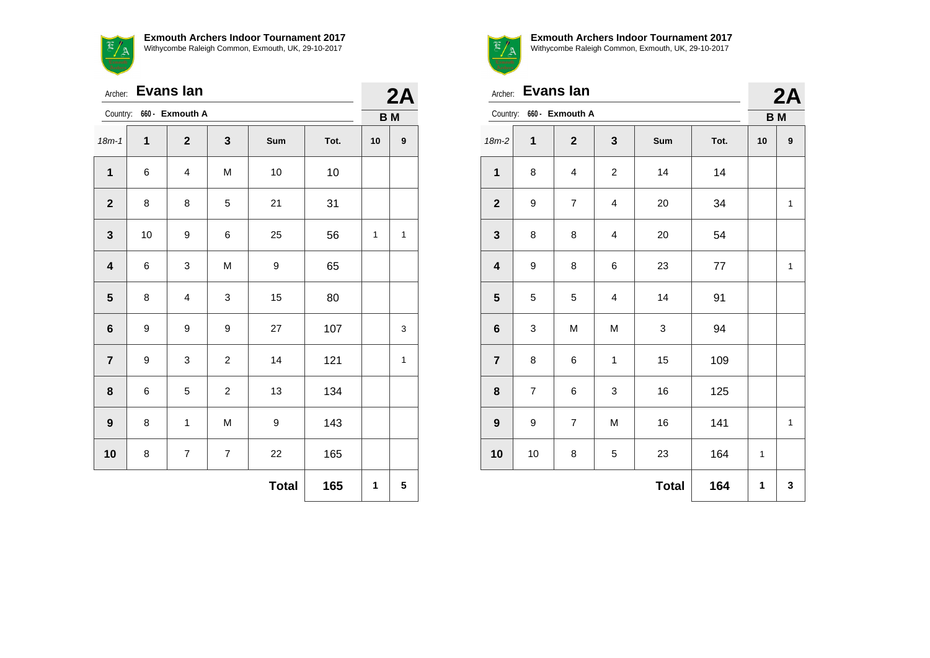$\mathbb{E}/\mathbb{A}$ 

**Exmouth Archers Indoor Tournament 2017** Withycombe Raleigh Common, Exmouth, UK, 29-10-2017

|                         | <b>Evans lan</b><br>Archer: |                          |                          |                  |      |           | 2A               |
|-------------------------|-----------------------------|--------------------------|--------------------------|------------------|------|-----------|------------------|
|                         |                             | Country: 660 - Exmouth A |                          |                  |      | <b>BM</b> |                  |
| $18m - 1$               | $\mathbf{1}$                | $\mathbf{2}$             | $\mathbf{3}$             | Sum              | Tot. | 10        | $\boldsymbol{9}$ |
| $\mathbf{1}$            | 6                           | 4                        | M                        | 10               | 10   |           |                  |
| $\mathbf{2}$            | 8                           | 8                        | 5                        | 21               | 31   |           |                  |
| $\mathbf{3}$            | 10                          | 9                        | 6                        | 25               | 56   | 1         | 1                |
| $\overline{\mathbf{4}}$ | 6                           | 3                        | M                        | 9                | 65   |           |                  |
| $5\phantom{1}$          | 8                           | 4                        | 3                        | 15               | 80   |           |                  |
| 6                       | 9                           | 9                        | 9                        | 27               | 107  |           | 3                |
| $\overline{7}$          | 9                           | 3                        | $\overline{2}$           | 14               | 121  |           | $\mathbf{1}$     |
| 8                       | 6                           | 5                        | $\overline{c}$           | 13               | 134  |           |                  |
| $\boldsymbol{9}$        | 8                           | 1                        | M                        | $\boldsymbol{9}$ | 143  |           |                  |
| 10                      | 8                           | $\overline{\mathbf{7}}$  | $\overline{\mathcal{I}}$ | 22               | 165  |           |                  |
|                         |                             |                          |                          | <b>Total</b>     | 165  | 1         | 5                |



**Exmouth Archers Indoor Tournament 2017** Withycombe Raleigh Common, Exmouth, UK, 29-10-2017

**7** | 8 | 6 | 1 | 15 | 109

**8** | 7 | 6 | 3 | 16 | 125

**9** | 9 | 7 | M | 16 | 141 | | 1

**Total 164 1 3**

**10** | 10 | 8 | 5 | 23 | 164 | 1

|                         | Archer: Evans lan |                          |   |     |      |           | 2A |
|-------------------------|-------------------|--------------------------|---|-----|------|-----------|----|
|                         |                   | Country: 660 - Exmouth A |   |     |      | <b>BM</b> |    |
| $18m-2$                 | 1                 | $\mathbf{2}$             | 3 | Sum | Tot. | 10        | 9  |
| 1                       | 8                 | 4                        | 2 | 14  | 14   |           |    |
| $\mathbf{2}$            | 9                 | $\overline{7}$           | 4 | 20  | 34   |           | 1  |
| $\mathbf{3}$            | 8                 | 8                        | 4 | 20  | 54   |           |    |
| $\overline{\mathbf{4}}$ | 9                 | 8                        | 6 | 23  | 77   |           | 1  |
| $5\phantom{1}$          | 5                 | 5                        | 4 | 14  | 91   |           |    |
| $6\phantom{1}6$         | 3                 | M                        | M | 3   | 94   |           |    |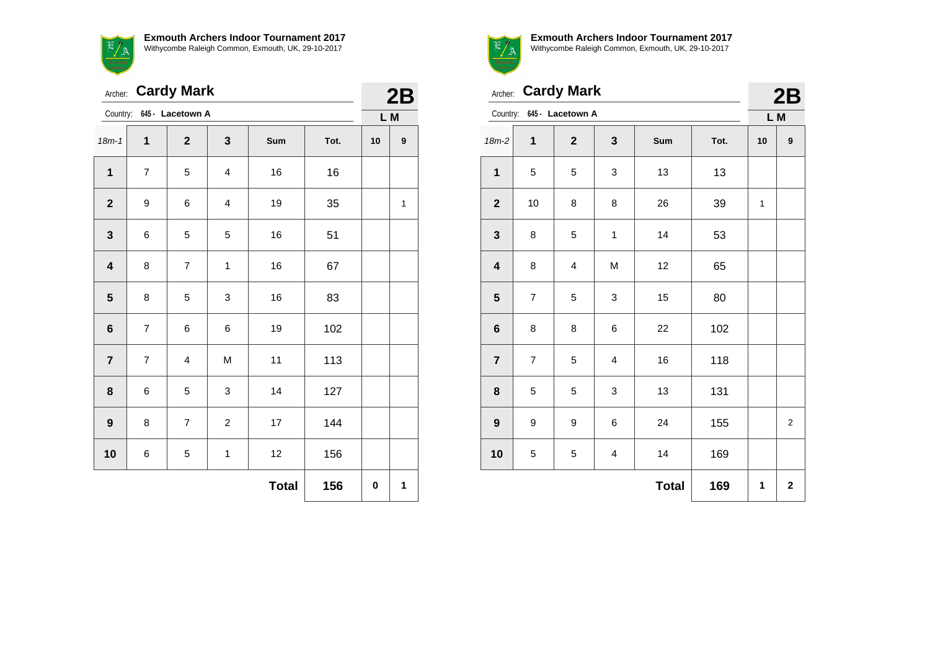$\overline{\mathcal{F}}$ <u>a / a</u>

**Exmouth Archers Indoor Tournament 2017** Withycombe Raleigh Common, Exmouth, UK, 29-10-2017

| Archer: Cardy Mark      |                          | 2B                        |                |              |      |     |                  |
|-------------------------|--------------------------|---------------------------|----------------|--------------|------|-----|------------------|
|                         |                          | Country: 645 - Lacetown A |                |              |      | L M |                  |
| $18m - 1$               | 1                        | $\overline{2}$            | 3              | Sum          | Tot. | 10  | $\boldsymbol{9}$ |
| $\mathbf{1}$            | $\overline{7}$           | 5                         | $\overline{4}$ | 16           | 16   |     |                  |
| $\mathbf 2$             | 9                        | 6                         | 4              | 19           | 35   |     | $\mathbf{1}$     |
| 3                       | 6                        | 5                         | 5              | 16           | 51   |     |                  |
| 4                       | 8                        | $\overline{7}$            | 1              | 16           | 67   |     |                  |
| 5                       | 8                        | 5                         | 3              | 16           | 83   |     |                  |
| 6                       | $\overline{7}$           | 6                         | 6              | 19           | 102  |     |                  |
| $\overline{\mathbf{r}}$ | $\overline{\mathcal{I}}$ | $\overline{\mathbf{4}}$   | M              | 11           | 113  |     |                  |
| 8                       | 6                        | 5                         | 3              | 14           | 127  |     |                  |
| 9                       | 8                        | $\overline{7}$            | $\overline{c}$ | 17           | 144  |     |                  |
| 10                      | 6                        | 5                         | $\mathbf{1}$   | 12           | 156  |     |                  |
|                         |                          |                           |                | <b>Total</b> | 156  | 0   | 1                |



**Exmouth Archers Indoor Tournament 2017** Withycombe Raleigh Common, Exmouth, UK, 29-10-2017

**2B** 

|                         | Archer: Cardy Mark |                           |                         |              |      |              |             |
|-------------------------|--------------------|---------------------------|-------------------------|--------------|------|--------------|-------------|
|                         |                    | Country: 645 - Lacetown A |                         |              |      | L M          |             |
| $18m-2$                 | $\mathbf{1}$       | $\mathbf{2}$              | 3                       | Sum          | Tot. | 10           | 9           |
| $\mathbf{1}$            | 5                  | 5                         | 3                       | 13           | 13   |              |             |
| $\mathbf{2}$            | 10                 | 8                         | 8                       | 26           | 39   | $\mathbf{1}$ |             |
| $\mathbf 3$             | 8                  | 5                         | $\mathbf{1}$            | 14           | 53   |              |             |
| $\overline{\mathbf{4}}$ | 8                  | $\overline{\mathbf{4}}$   | M                       | 12           | 65   |              |             |
| 5                       | $\overline{7}$     | 5                         | 3                       | 15           | 80   |              |             |
| $\bf 6$                 | 8                  | 8                         | 6                       | 22           | 102  |              |             |
| $\overline{7}$          | 7                  | 5                         | $\overline{\mathbf{4}}$ | 16           | 118  |              |             |
| 8                       | 5                  | 5                         | 3                       | 13           | 131  |              |             |
| $\boldsymbol{9}$        | 9                  | 9                         | 6                       | 24           | 155  |              | 2           |
| 10                      | 5                  | 5                         | $\overline{\mathbf{4}}$ | 14           | 169  |              |             |
|                         |                    |                           |                         | <b>Total</b> | 169  | 1            | $\mathbf 2$ |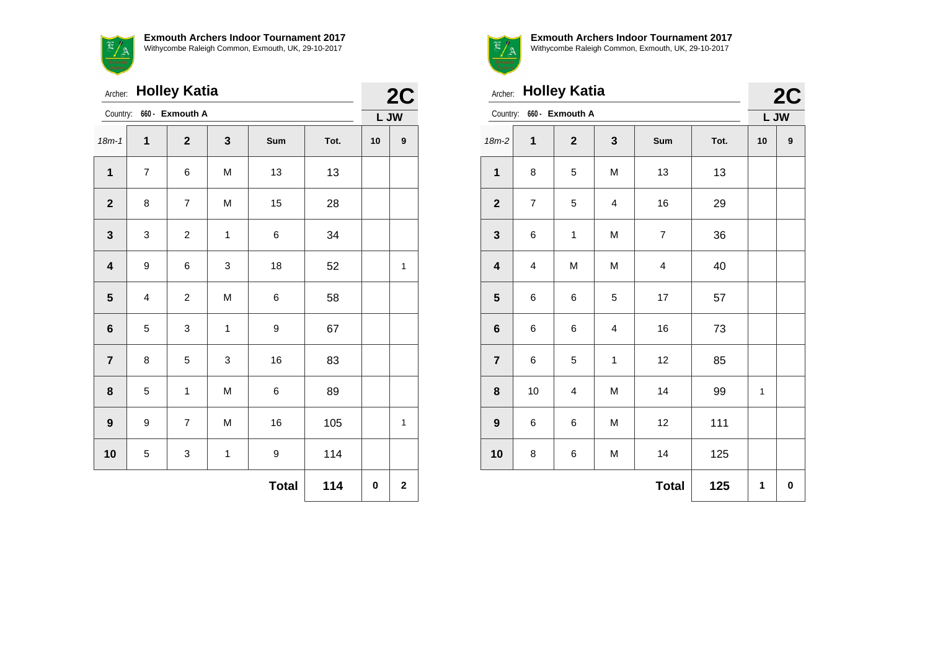$\frac{1}{\sqrt{\frac{3}{2}}}$ 

**Exmouth Archers Indoor Tournament 2017** Withycombe Raleigh Common, Exmouth, UK, 29-10-2017

| <b>Holley Katia</b><br>Archer: |                         |                 |              |              |      |      | 2C                      |
|--------------------------------|-------------------------|-----------------|--------------|--------------|------|------|-------------------------|
| Country:                       |                         | 660 - Exmouth A |              |              |      | L JW |                         |
| $18m - 1$                      | 1                       | $\mathbf{2}$    | 3            | Sum          | Tot. | 10   | $\boldsymbol{9}$        |
| $\mathbf 1$                    | $\overline{7}$          | 6               | M            | 13           | 13   |      |                         |
| $\mathbf{2}$                   | 8                       | $\overline{7}$  | M            | 15           | 28   |      |                         |
| $\mathbf{3}$                   | 3                       | $\overline{c}$  | $\mathbf{1}$ | 6            | 34   |      |                         |
| $\overline{\mathbf{4}}$        | 9                       | 6               | 3            | 18           | 52   |      | 1                       |
| ${\bf 5}$                      | $\overline{\mathbf{4}}$ | $\overline{c}$  | M            | 6            | 58   |      |                         |
| $\bf 6$                        | 5                       | 3               | 1            | 9            | 67   |      |                         |
| $\overline{7}$                 | 8                       | 5               | 3            | 16           | 83   |      |                         |
| 8                              | 5                       | 1               | M            | 6            | 89   |      |                         |
| $\boldsymbol{9}$               | $\boldsymbol{9}$        | $\overline{7}$  | M            | 16           | 105  |      | $\mathbf 1$             |
| 10                             | 5                       | 3               | $\mathbf{1}$ | 9            | 114  |      |                         |
|                                |                         |                 |              | <b>Total</b> | 114  | 0    | $\overline{\mathbf{2}}$ |



 $\Omega$ 

**Exmouth Archers Indoor Tournament 2017** Withycombe Raleigh Common, Exmouth, UK, 29-10-2017

|                         | Archer: Holley Katia |                          |   |                |      |    |            |  |
|-------------------------|----------------------|--------------------------|---|----------------|------|----|------------|--|
|                         |                      | Country: 660 - Exmouth A |   |                |      |    | 2C<br>L JW |  |
| $18m-2$                 | 1                    | $\mathbf{2}$             | 3 | Sum            | Tot. | 10 | 9          |  |
| $\mathbf{1}$            | 8                    | 5                        | M | 13             | 13   |    |            |  |
| $\mathbf 2$             | $\overline{7}$       | 5                        | 4 | 16             | 29   |    |            |  |
| $\mathbf 3$             | 6                    | 1                        | M | $\overline{7}$ | 36   |    |            |  |
| $\overline{\mathbf{4}}$ | 4                    | M                        | M | 4              | 40   |    |            |  |
| ${\bf 5}$               | 6                    | 6                        | 5 | 17             | 57   |    |            |  |
| $\bf 6$                 | 6                    | 6                        | 4 | 16             | 73   |    |            |  |
| $\overline{7}$          | 6                    | 5                        | 1 | 12             | 85   |    |            |  |
| 8                       | 10                   | 4                        | M | 14             | 99   | 1  |            |  |
| $\boldsymbol{9}$        | 6                    | 6                        | M | 12             | 111  |    |            |  |
| 10                      | 8                    | 6                        | M | 14             | 125  |    |            |  |

**Total 125 1 0**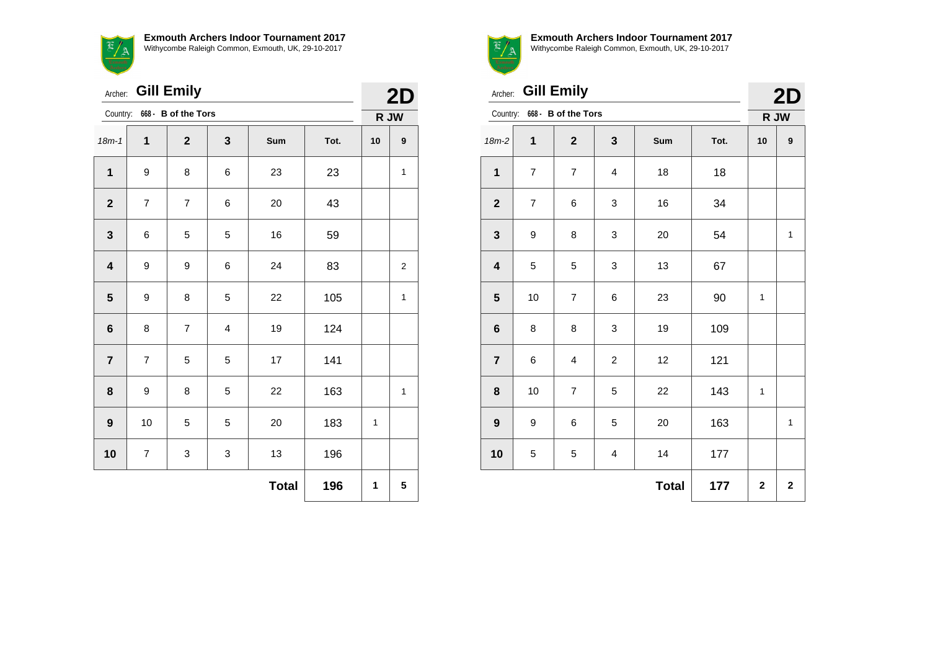

|                         | Archer: Gill Emily      |                              |       |              |      |      |                |  |
|-------------------------|-------------------------|------------------------------|-------|--------------|------|------|----------------|--|
|                         |                         | Country: 668 - B of the Tors |       |              |      | R JW |                |  |
| $18m - 1$               | $\mathbf{1}$            | $\mathbf{2}$                 | 3     | Sum          | Tot. | 10   | 9              |  |
| 1                       | 9                       | 8                            | $\,6$ | 23           | 23   |      | 1              |  |
| $\mathbf{2}$            | $\overline{\mathbf{7}}$ | $\overline{7}$               | 6     | 20           | 43   |      |                |  |
| $\mathbf{3}$            | 6                       | 5                            | 5     | 16           | 59   |      |                |  |
| $\overline{\mathbf{4}}$ | 9                       | 9                            | 6     | 24           | 83   |      | $\overline{c}$ |  |
| ${\bf 5}$               | 9                       | 8                            | 5     | 22           | 105  |      | 1              |  |
| $\bf 6$                 | 8                       | $\overline{7}$               | 4     | 19           | 124  |      |                |  |
| $\overline{7}$          | $\overline{7}$          | 5                            | 5     | 17           | 141  |      |                |  |
| 8                       | 9                       | 8                            | 5     | 22           | 163  |      | 1              |  |
| $\boldsymbol{9}$        | 10                      | 5                            | 5     | 20           | 183  | 1    |                |  |
| 10                      | $\overline{7}$          | 3                            | 3     | 13           | 196  |      |                |  |
|                         |                         |                              |       | <b>Total</b> | 196  | 1    | 5              |  |



Archer: **Gill Emily**

|      |      | 21<br>D |
|------|------|---------|
|      | R JW |         |
| Tot. | 10   |         |

| Country:<br>668 - B of the Tors |                |                  |                         |              |      |              | R JW        |  |
|---------------------------------|----------------|------------------|-------------------------|--------------|------|--------------|-------------|--|
| $18m-2$                         | $\mathbf 1$    | $\mathbf{2}$     | 3                       | Sum          | Tot. | 10           | 9           |  |
| $\mathbf{1}$                    | $\overline{7}$ | $\boldsymbol{7}$ | $\overline{\mathbf{4}}$ | 18           | 18   |              |             |  |
| $\mathbf 2$                     | $\overline{7}$ | 6                | 3                       | 16           | 34   |              |             |  |
| $\mathbf{3}$                    | 9              | 8                | 3                       | 20           | 54   |              | 1           |  |
| $\overline{\mathbf{4}}$         | 5              | 5                | 3                       | 13           | 67   |              |             |  |
| ${\bf 5}$                       | 10             | $\overline{7}$   | 6                       | 23           | 90   | 1            |             |  |
| $\bf 6$                         | 8              | 8                | 3                       | 19           | 109  |              |             |  |
| $\overline{\mathbf{7}}$         | 6              | 4                | $\overline{c}$          | 12           | 121  |              |             |  |
| $\bf8$                          | 10             | $\boldsymbol{7}$ | 5                       | 22           | 143  | 1            |             |  |
| $\boldsymbol{9}$                | 9              | 6                | 5                       | $20\,$       | 163  |              | 1           |  |
| 10                              | 5              | 5                | 4                       | 14           | 177  |              |             |  |
|                                 |                |                  |                         | <b>Total</b> | 177  | $\mathbf{2}$ | $\mathbf 2$ |  |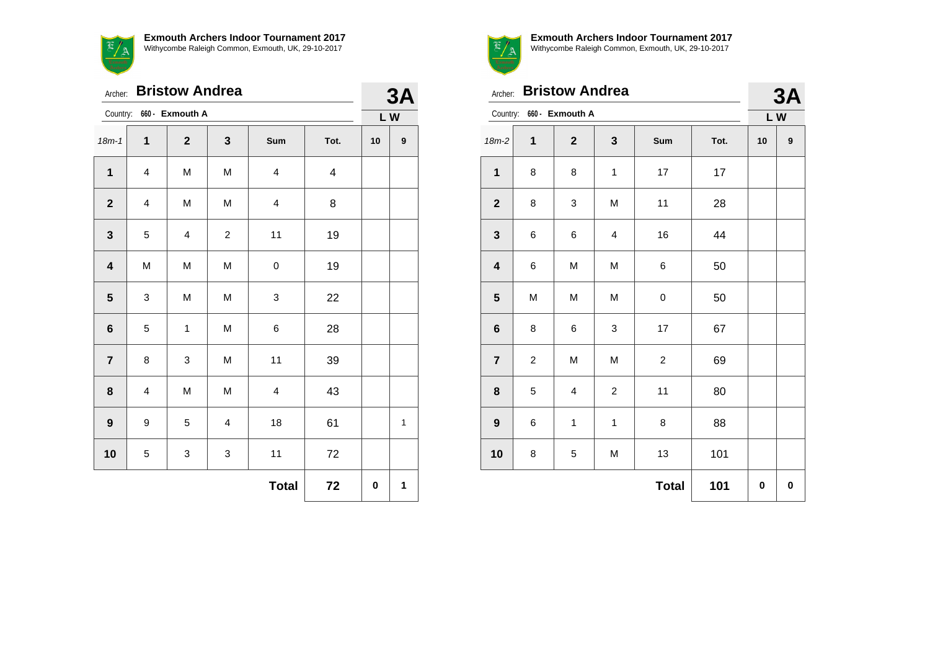$\overline{\phantom{0}}$ **Exmouth Archers Indoor Tournament 2017** Withycombe Raleigh Common, Exmouth, UK, 29-10-2017

 $\mathbf{R}$  .

|                         | <b>Bristow Andrea</b><br>Archer: |                         |                  |                         |      |    |                  |  |
|-------------------------|----------------------------------|-------------------------|------------------|-------------------------|------|----|------------------|--|
| Country:                |                                  | 660 - Exmouth A         |                  |                         |      | LW |                  |  |
| $18m - 1$               | $\mathbf{1}$                     | $\mathbf 2$             | 3                | Sum                     | Tot. | 10 | $\boldsymbol{9}$ |  |
| $\mathbf{1}$            | $\overline{\mathbf{4}}$          | M                       | M                | 4                       | 4    |    |                  |  |
| $\mathbf{2}$            | 4                                | M                       | M                | 4                       | 8    |    |                  |  |
| $\mathbf{3}$            | 5                                | $\overline{\mathbf{4}}$ | $\boldsymbol{2}$ | 11                      | 19   |    |                  |  |
| $\overline{\mathbf{4}}$ | M                                | M                       | M                | 0                       | 19   |    |                  |  |
| ${\bf 5}$               | 3                                | M                       | M                | 3                       | 22   |    |                  |  |
| $\bf 6$                 | 5                                | 1                       | M                | 6                       | 28   |    |                  |  |
| $\overline{7}$          | 8                                | 3                       | M                | 11                      | 39   |    |                  |  |
| 8                       | $\overline{\mathbf{4}}$          | M                       | M                | $\overline{\mathbf{4}}$ | 43   |    |                  |  |
| 9                       | 9                                | 5                       | $\overline{4}$   | 18                      | 61   |    | 1                |  |
| 10                      | 5                                | 3                       | 3                | 11                      | 72   |    |                  |  |
|                         |                                  |                         |                  | <b>Total</b>            | 72   | 0  | 1                |  |



|                         | <b>Bristow Andrea</b><br>Archer: |                 |                |                |      |           |   |  |
|-------------------------|----------------------------------|-----------------|----------------|----------------|------|-----------|---|--|
| Country:                |                                  | 660 - Exmouth A |                |                |      | 3A<br>LW  |   |  |
| $18m-2$                 | $\mathbf{1}$                     | $\mathbf 2$     | 3              | Sum            | Tot. | 10        | 9 |  |
| $\mathbf 1$             | 8                                | 8               | $\mathbf{1}$   | 17             | 17   |           |   |  |
| $\mathbf 2$             | 8                                | 3               | M              | 11             | 28   |           |   |  |
| $\mathbf{3}$            | 6                                | 6               | 4              | 16             | 44   |           |   |  |
| $\overline{\mathbf{4}}$ | 6                                | M               | M              | 6              | 50   |           |   |  |
| ${\bf 5}$               | M                                | M               | M              | $\pmb{0}$      | 50   |           |   |  |
| $\bf 6$                 | 8                                | 6               | 3              | 17             | 67   |           |   |  |
| $\overline{7}$          | $\boldsymbol{2}$                 | M               | M              | $\overline{c}$ | 69   |           |   |  |
| 8                       | 5                                | 4               | $\overline{c}$ | 11             | 80   |           |   |  |
| 9                       | 6                                | 1               | 1              | 8              | 88   |           |   |  |
| 10                      | 8                                | 5               | M              | 13             | 101  |           |   |  |
|                         |                                  |                 |                | <b>Total</b>   | 101  | $\pmb{0}$ | 0 |  |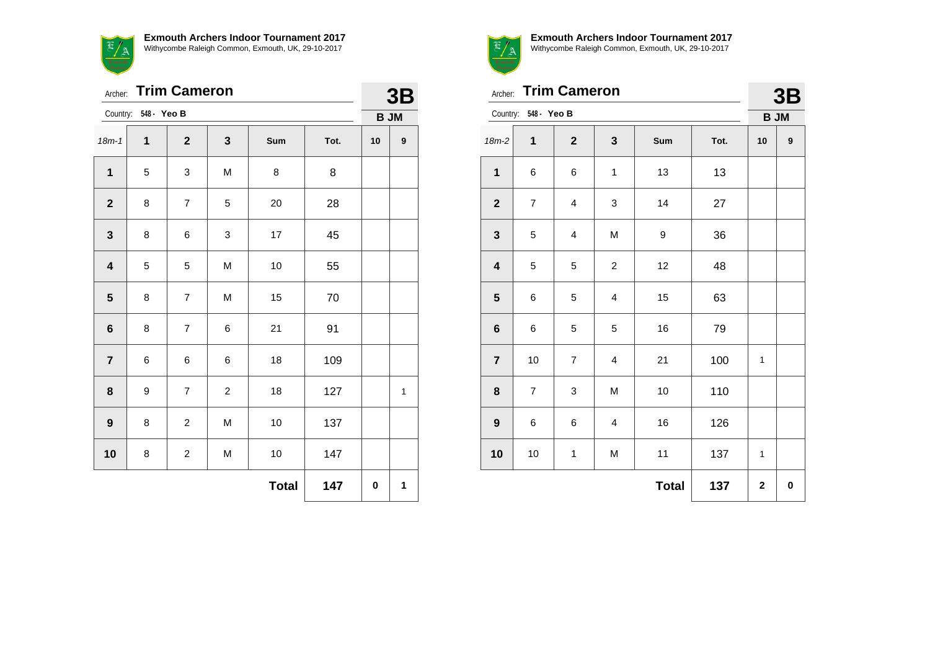**Exmouth Archers Indoor Tournament 2017**



Withycombe Raleigh Common, Exmouth, UK, 29-10-2017

| Archer:                 |                      | 3B             |                |              |      |             |                  |
|-------------------------|----------------------|----------------|----------------|--------------|------|-------------|------------------|
|                         | Country: 548 - Yeo B |                |                |              |      | <b>B JM</b> |                  |
| $18m - 1$               | 1                    | $\mathbf{2}$   | $\mathbf{3}$   | Sum          | Tot. | 10          | $\boldsymbol{9}$ |
| $\mathbf{1}$            | 5                    | 3              | M              | 8            | 8    |             |                  |
| $\boldsymbol{2}$        | 8                    | $\overline{7}$ | 5              | 20           | 28   |             |                  |
| $\mathbf{3}$            | 8                    | 6              | 3              | 17           | 45   |             |                  |
| $\overline{\mathbf{4}}$ | 5                    | 5              | M              | 10           | 55   |             |                  |
| $\overline{\mathbf{5}}$ | 8                    | $\overline{7}$ | M              | 15           | 70   |             |                  |
| $\bf 6$                 | 8                    | $\overline{7}$ | 6              | 21           | 91   |             |                  |
| $\overline{7}$          | 6                    | 6              | 6              | 18           | 109  |             |                  |
| 8                       | 9                    | $\overline{7}$ | $\overline{c}$ | 18           | 127  |             | $\mathbf{1}$     |
| $\boldsymbol{9}$        | 8                    | $\overline{c}$ | M              | 10           | 137  |             |                  |
| 10                      | 8                    | $\overline{c}$ | M              | 10           | 147  |             |                  |
|                         |                      |                |                | <b>Total</b> | 147  | $\pmb{0}$   | 1                |



Archer: **Trim Cameron**

| <b>3B</b> |
|-----------|
|           |

| Country: 548 - Yeo B    |                         |                         |                         |              |      |             | <b>B JM</b> |
|-------------------------|-------------------------|-------------------------|-------------------------|--------------|------|-------------|-------------|
| $18m-2$                 | 1                       | $\mathbf{2}$            | $\mathbf{3}$            | Sum          | Tot. | 10          | 9           |
| $\mathbf 1$             | 6                       | 6                       | $\mathbf{1}$            | 13           | 13   |             |             |
| $\mathbf 2$             | $\overline{\mathbf{7}}$ | $\overline{\mathbf{4}}$ | 3                       | 14           | 27   |             |             |
| $\mathbf 3$             | 5                       | $\overline{\mathbf{4}}$ | M                       | 9            | 36   |             |             |
| $\overline{\mathbf{4}}$ | 5                       | 5                       | $\overline{c}$          | 12           | 48   |             |             |
| ${\bf 5}$               | 6                       | 5                       | $\overline{\mathbf{4}}$ | 15           | 63   |             |             |
| $\bf 6$                 | 6                       | 5                       | 5                       | 16           | 79   |             |             |
| $\overline{7}$          | 10                      | $\overline{7}$          | 4                       | 21           | 100  | 1           |             |
| 8                       | $\overline{7}$          | 3                       | M                       | 10           | 110  |             |             |
| 9                       | 6                       | 6                       | 4                       | 16           | 126  |             |             |
| 10                      | $10\,$                  | 1                       | M                       | 11           | 137  | 1           |             |
|                         |                         |                         |                         | <b>Total</b> | 137  | $\mathbf 2$ | 0           |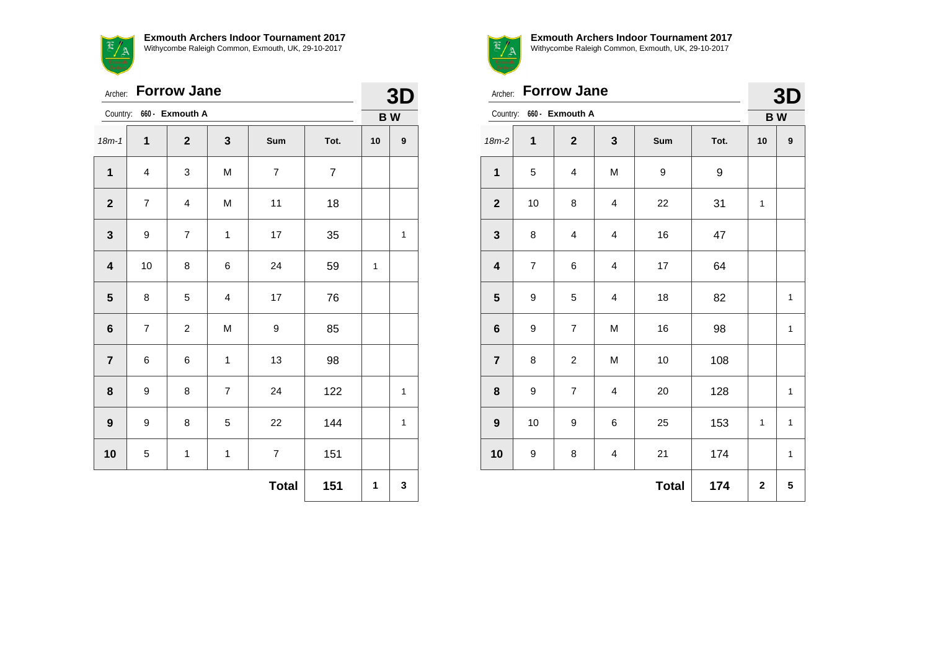

| <b>Forrow Jane</b><br>Archer: |                          |                          |                |                |                |    | 3D           |
|-------------------------------|--------------------------|--------------------------|----------------|----------------|----------------|----|--------------|
|                               |                          | Country: 660 - Exmouth A |                |                |                |    | <b>BW</b>    |
| $18m - 1$                     | 1                        | $\mathbf{2}$             | 3              | Sum            | Tot.           | 10 | 9            |
| $\mathbf{1}$                  | $\overline{\mathbf{4}}$  | 3                        | M              | $\overline{7}$ | $\overline{7}$ |    |              |
| $\overline{\mathbf{2}}$       | $\overline{7}$           | 4                        | M              | 11             | 18             |    |              |
| $\mathbf{3}$                  | 9                        | $\overline{\mathcal{I}}$ | $\mathbf{1}$   | 17             | 35             |    | 1            |
| $\overline{\mathbf{4}}$       | 10                       | 8                        | 6              | 24             | 59             | 1  |              |
| 5                             | 8                        | 5                        | $\overline{4}$ | 17             | 76             |    |              |
| $\bf 6$                       | $\overline{\mathcal{I}}$ | $\overline{c}$           | M              | 9              | 85             |    |              |
| $\overline{7}$                | 6                        | 6                        | $\mathbf{1}$   | 13             | 98             |    |              |
| 8                             | 9                        | 8                        | $\overline{7}$ | 24             | 122            |    | $\mathbf{1}$ |
| $\boldsymbol{9}$              | 9                        | 8                        | 5              | 22             | 144            |    | 1            |
| 10                            | 5                        | $\mathbf{1}$             | $\mathbf{1}$   | $\overline{7}$ | 151            |    |              |
|                               |                          |                          |                | <b>Total</b>   | 151            | 1  | 3            |



**Exmouth Archers Indoor Tournament 2017** Withycombe Raleigh Common, Exmouth, UK, 29-10-2017

|                         | Archer: Forrow Jane<br>660 - Exmouth A |                |   |     |      |    |   |  |
|-------------------------|----------------------------------------|----------------|---|-----|------|----|---|--|
| Country:                | <b>BW</b>                              |                |   |     |      |    |   |  |
| $18m-2$                 | 1                                      | $\mathbf{2}$   | 3 | Sum | Tot. | 10 | 9 |  |
| $\mathbf 1$             | 5                                      | 4              | M | 9   | 9    |    |   |  |
| $\mathbf{2}$            | 10                                     | 8              | 4 | 22  | 31   | 1  |   |  |
| $\mathbf{3}$            | 8                                      | 4              | 4 | 16  | 47   |    |   |  |
| $\overline{\mathbf{4}}$ | $\overline{7}$                         | 6              | 4 | 17  | 64   |    |   |  |
| $\overline{\mathbf{5}}$ | 9                                      | 5              | 4 | 18  | 82   |    | 1 |  |
| $\bf 6$                 | 9                                      | 7              | M | 16  | 98   |    | 1 |  |
| $\overline{7}$          | 8                                      | $\overline{c}$ | M | 10  | 108  |    |   |  |
| 8                       | 9                                      | $\overline{7}$ | 4 | 20  | 128  |    | 1 |  |
| 9                       | 10                                     | 9              | 6 | 25  | 153  | 1  | 1 |  |
| 10                      | 9                                      | 8              | 4 | 21  | 174  |    | 1 |  |

**Total 174 2 5**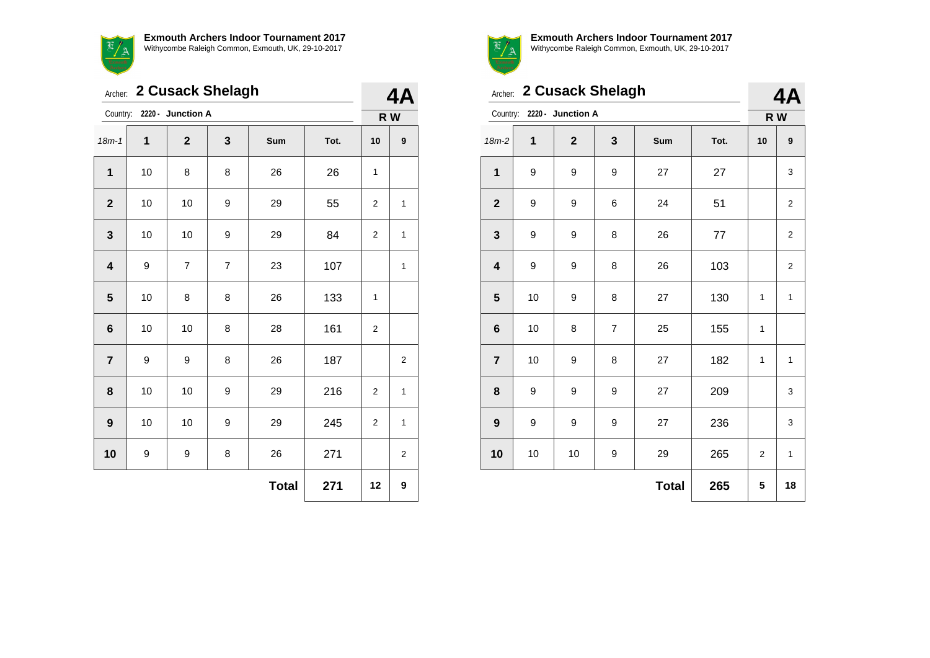$\overline{\phantom{0}}$ **Exmouth Archers Indoor Tournament 2017** Withycombe Raleigh Common, Exmouth, UK, 29-10-2017

| 2 Cusack Shelagh<br>Archer: |    |                            |                |              |      |                | <b>4A</b>      |  |
|-----------------------------|----|----------------------------|----------------|--------------|------|----------------|----------------|--|
|                             |    | Country: 2220 - Junction A |                |              |      | R W            |                |  |
| $18m - 1$                   | 1  | $\mathbf{2}$               | 3              | Sum          | Tot. | 10             | 9              |  |
| 1                           | 10 | 8                          | 8              | 26           | 26   | 1              |                |  |
| $\mathbf{2}$                | 10 | 10                         | 9              | 29           | 55   | 2              | 1              |  |
| $\mathbf{3}$                | 10 | 10                         | 9              | 29           | 84   | 2              | 1              |  |
| $\overline{\mathbf{4}}$     | 9  | $\overline{7}$             | $\overline{7}$ | 23           | 107  |                | 1              |  |
| 5                           | 10 | 8                          | 8              | 26           | 133  | 1              |                |  |
| $6\phantom{1}$              | 10 | 10                         | 8              | 28           | 161  | 2              |                |  |
| $\overline{7}$              | 9  | 9                          | 8              | 26           | 187  |                | $\overline{2}$ |  |
| 8                           | 10 | 10                         | 9              | 29           | 216  | 2              | 1              |  |
| 9                           | 10 | 10                         | 9              | 29           | 245  | $\overline{2}$ | 1              |  |
| 10                          | 9  | 9                          | 8              | 26           | 271  |                | $\overline{2}$ |  |
|                             |    |                            |                | <b>Total</b> | 271  | 12             | 9              |  |



| Archer: 2 Cusack Shelagh |    |                   |                |              |      | 4Α           |                         |  |
|--------------------------|----|-------------------|----------------|--------------|------|--------------|-------------------------|--|
| Country:                 |    | 2220 - Junction A |                |              |      |              | R W                     |  |
| $18m-2$                  | 1  | $\mathbf{2}$      | 3              | Sum          | Tot. | 10           | 9                       |  |
| $\mathbf{1}$             | 9  | 9                 | 9              | 27           | 27   |              | 3                       |  |
| $\overline{2}$           | 9  | 9                 | 6              | 24           | 51   |              | $\overline{\mathbf{c}}$ |  |
| 3                        | 9  | 9                 | 8              | 26           | 77   |              | $\overline{2}$          |  |
| $\overline{\mathbf{4}}$  | 9  | 9                 | 8              | 26           | 103  |              | $\overline{2}$          |  |
| 5                        | 10 | 9                 | 8              | 27           | 130  | 1            | $\mathbf{1}$            |  |
| $6\phantom{1}$           | 10 | 8                 | $\overline{7}$ | 25           | 155  | $\mathbf{1}$ |                         |  |
| $\overline{7}$           | 10 | 9                 | 8              | 27           | 182  | 1            | $\mathbf{1}$            |  |
| 8                        | 9  | 9                 | 9              | 27           | 209  |              | 3                       |  |
| $\boldsymbol{9}$         | 9  | 9                 | 9              | 27           | 236  |              | 3                       |  |
| 10                       | 10 | 10                | 9              | 29           | 265  | 2            | $\mathbf{1}$            |  |
|                          |    |                   |                | <b>Total</b> | 265  | 5            | 18                      |  |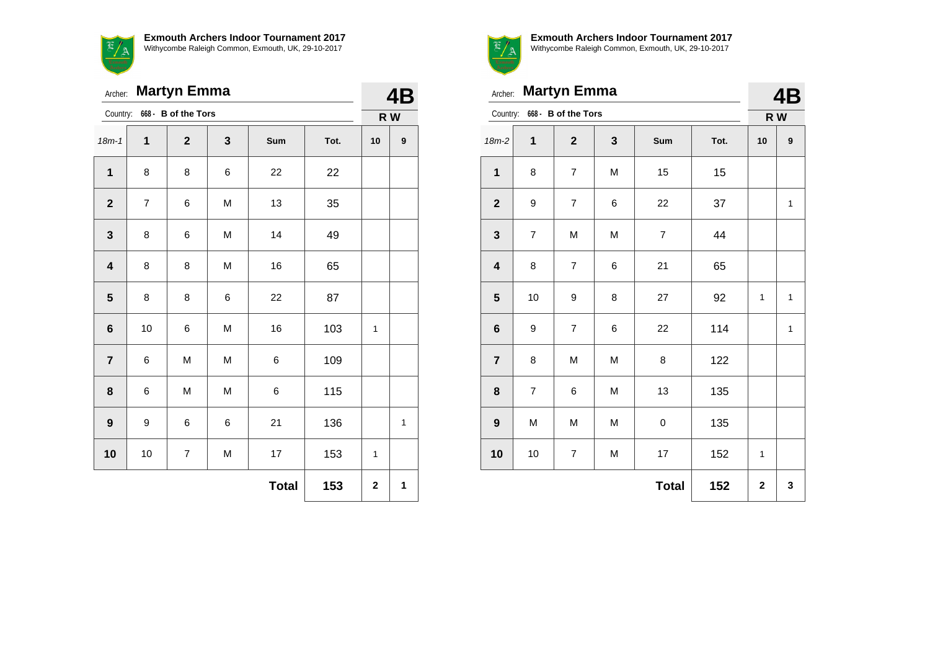

Archer: **Martyn Emma**

|                         |                | Country: 668 - B of the Tors |   |              |      |              | R W              |
|-------------------------|----------------|------------------------------|---|--------------|------|--------------|------------------|
| $18m-1$                 | $\mathbf 1$    | $\mathbf{2}$                 | 3 | Sum          | Tot. | 10           | $\boldsymbol{9}$ |
| $\mathbf 1$             | 8              | 8                            | 6 | 22           | 22   |              |                  |
| $\boldsymbol{2}$        | $\overline{7}$ | 6                            | M | 13           | 35   |              |                  |
| $\mathbf{3}$            | 8              | 6                            | M | 14           | 49   |              |                  |
| $\overline{\mathbf{4}}$ | 8              | 8                            | M | 16           | 65   |              |                  |
| ${\bf 5}$               | 8              | 8                            | 6 | 22           | 87   |              |                  |
| $\bf 6$                 | 10             | 6                            | M | 16           | 103  | $\mathbf{1}$ |                  |
| $\overline{\mathbf{7}}$ | 6              | M                            | M | 6            | 109  |              |                  |
| ${\bf 8}$               | 6              | M                            | M | 6            | 115  |              |                  |
| $\boldsymbol{9}$        | 9              | 6                            | 6 | 21           | 136  |              | $\mathbf{1}$     |
| 10                      | $10$           | $\overline{7}$               | M | 17           | 153  | $\mathbf{1}$ |                  |
|                         |                |                              |   | <b>Total</b> | 153  | $\mathbf 2$  | 1                |



**4B**

| Archer: Martyn Emma     |                | <b>4B</b>                    |   |     |      |    |     |
|-------------------------|----------------|------------------------------|---|-----|------|----|-----|
|                         |                | Country: 668 - B of the Tors |   |     |      |    | R W |
| $18m-2$                 | 1              | $\overline{2}$               | 3 | Sum | Tot. | 10 | 9   |
| 1                       | 8              | $\overline{7}$               | M | 15  | 15   |    |     |
| $\mathbf{2}$            | 9              | $\overline{7}$               | 6 | 22  | 37   |    | 1   |
| $\mathbf{3}$            | $\overline{7}$ | M                            | M | 7   | 44   |    |     |
| $\overline{\mathbf{4}}$ | 8              | $\overline{7}$               | 6 | 21  | 65   |    |     |
| 5                       | 10             | 9                            | 8 | 27  | 92   | 1  | 1   |
|                         |                |                              |   |     |      |    |     |

|                         |                  |                         |           | <b>Total</b>             | 152 | $\mathbf{2}$ | 3            |
|-------------------------|------------------|-------------------------|-----------|--------------------------|-----|--------------|--------------|
| 10                      | $10$             | $\overline{7}$          | M         | 17                       | 152 | 1            |              |
| $\boldsymbol{9}$        | M                | M                       | ${\sf M}$ | 0                        | 135 |              |              |
| $\pmb{8}$               | $\boldsymbol{7}$ | 6                       | ${\sf M}$ | 13                       | 135 |              |              |
| $\overline{7}$          | 8                | M                       | M         | 8                        | 122 |              |              |
| $\boldsymbol{6}$        | 9                | $\overline{\mathbf{7}}$ | 6         | 22                       | 114 |              | $\mathbf{1}$ |
| $5\phantom{1}$          | 10               | 9                       | 8         | 27                       | 92  | 1            | $\mathbf{1}$ |
| $\overline{\mathbf{4}}$ | 8                | $\overline{\mathbf{7}}$ | 6         | 21                       | 65  |              |              |
| $\mathbf{3}$            | $\boldsymbol{7}$ | M                       | M         | $\overline{\mathcal{I}}$ | 44  |              |              |
| $\overline{\mathbf{2}}$ | 9                | $\boldsymbol{7}$        | 6         | 22                       | 37  |              | $\mathbf 1$  |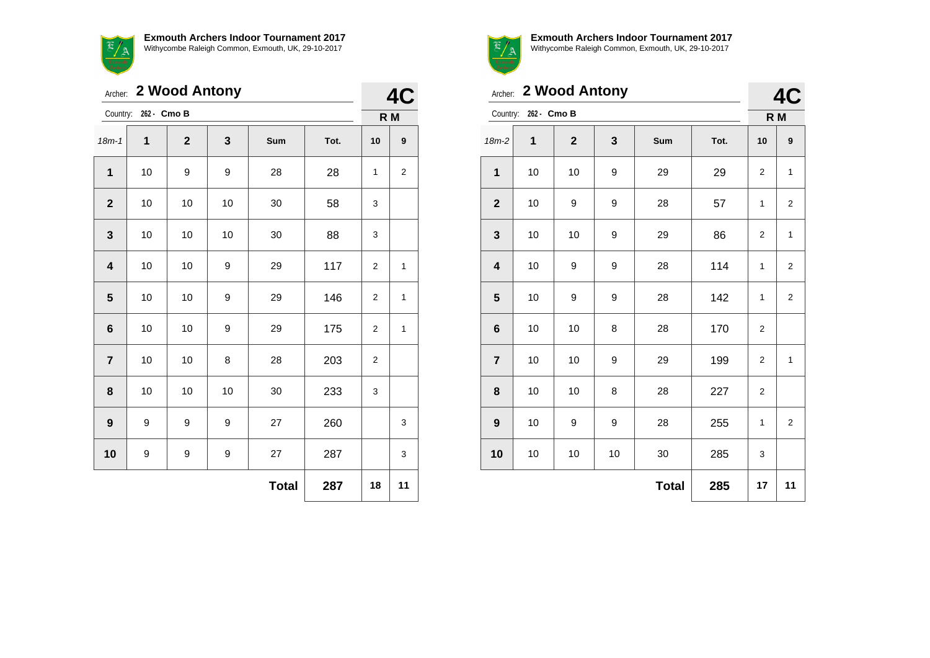|                | Archer: 2 Wood Antony |                |    |              |      |                |                         |  |
|----------------|-----------------------|----------------|----|--------------|------|----------------|-------------------------|--|
| Country:       | 262 - Cmo B           |                |    |              |      |                | R <sub>M</sub>          |  |
| $18m - 1$      | $\mathbf{1}$          | $\overline{2}$ | 3  | Sum          | Tot. | 10             | 9                       |  |
| $\mathbf{1}$   | 10                    | 9              | 9  | 28           | 28   | $\mathbf{1}$   | $\overline{\mathbf{c}}$ |  |
| $\mathbf{2}$   | 10                    | 10             | 10 | 30           | 58   | 3              |                         |  |
| 3              | 10                    | 10             | 10 | 30           | 88   | 3              |                         |  |
| 4              | 10                    | 10             | 9  | 29           | 117  | 2              | $\mathbf{1}$            |  |
| 5              | 10                    | 10             | 9  | 29           | 146  | $\overline{2}$ | $\mathbf 1$             |  |
| 6              | 10                    | 10             | 9  | 29           | 175  | $\overline{2}$ | 1                       |  |
| $\overline{7}$ | 10                    | 10             | 8  | 28           | 203  | 2              |                         |  |
| 8              | 10                    | 10             | 10 | 30           | 233  | 3              |                         |  |
| 9              | 9                     | 9              | 9  | 27           | 260  |                | 3                       |  |
| 10             | 9                     | 9              | 9  | 27           | 287  |                | 3                       |  |
|                |                       |                |    | <b>Total</b> | 287  | 18             | 11                      |  |



|                         | 2 Wood Antony<br>Archer: |              |    |              |      |                |                         |  |
|-------------------------|--------------------------|--------------|----|--------------|------|----------------|-------------------------|--|
|                         | Country: 262 - Cmo B     |              |    |              |      | R M            |                         |  |
| $18m-2$                 | 1                        | $\mathbf{2}$ | 3  | Sum          | Tot. | 10             | 9                       |  |
| $\mathbf{1}$            | 10                       | 10           | 9  | 29           | 29   | 2              | $\mathbf{1}$            |  |
| $\mathbf{2}$            | 10                       | 9            | 9  | 28           | 57   | $\mathbf{1}$   | 2                       |  |
| $\mathbf 3$             | 10                       | 10           | 9  | 29           | 86   | 2              | $\mathbf{1}$            |  |
| $\overline{\mathbf{4}}$ | 10                       | 9            | 9  | 28           | 114  | 1              | $\overline{2}$          |  |
| $\overline{\mathbf{5}}$ | 10                       | 9            | 9  | 28           | 142  | $\mathbf{1}$   | $\overline{2}$          |  |
| $\bf 6$                 | 10                       | 10           | 8  | 28           | 170  | $\overline{2}$ |                         |  |
| $\overline{7}$          | 10                       | 10           | 9  | 29           | 199  | 2              | 1                       |  |
| 8                       | 10                       | 10           | 8  | 28           | 227  | $\overline{2}$ |                         |  |
| $\boldsymbol{9}$        | 10                       | 9            | 9  | 28           | 255  | 1              | $\overline{\mathbf{c}}$ |  |
| 10                      | 10                       | 10           | 10 | 30           | 285  | 3              |                         |  |
|                         |                          |              |    | <b>Total</b> | 285  | 17             | 11                      |  |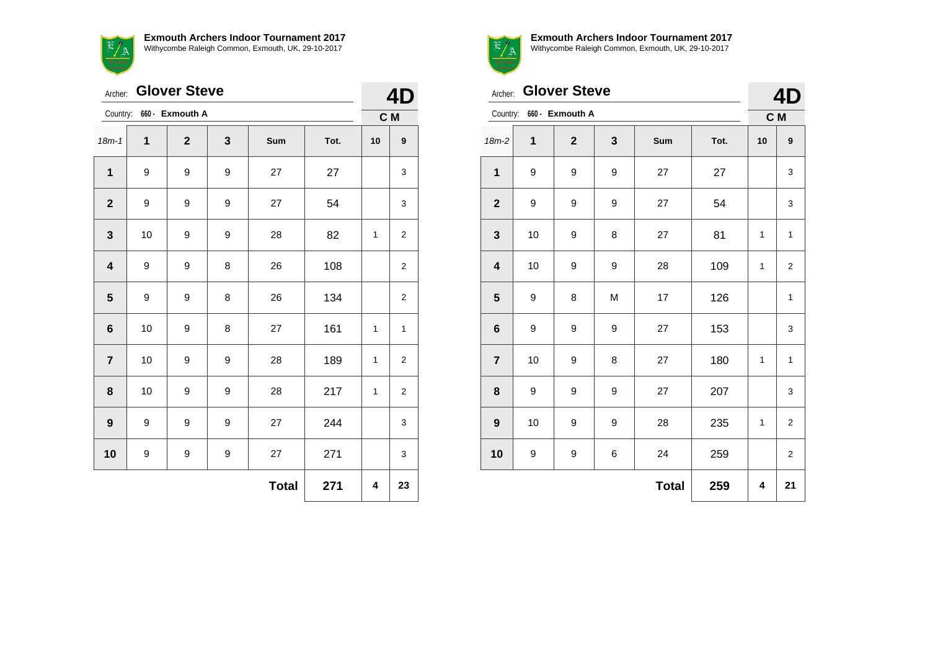

|                         | <b>Glover Steve</b><br>Archer: |                 |   |              |      |     |                         |  |
|-------------------------|--------------------------------|-----------------|---|--------------|------|-----|-------------------------|--|
| Country:                |                                | 660 - Exmouth A |   |              |      | C M |                         |  |
| $18m - 1$               | 1                              | $\mathbf{2}$    | 3 | Sum          | Tot. | 10  | 9                       |  |
| 1                       | 9                              | 9               | 9 | 27           | 27   |     | 3                       |  |
| $\mathbf{2}$            | 9                              | 9               | 9 | 27           | 54   |     | 3                       |  |
| $\mathbf{3}$            | 10                             | 9               | 9 | 28           | 82   | 1   | 2                       |  |
| $\overline{\mathbf{4}}$ | 9                              | 9               | 8 | 26           | 108  |     | $\overline{\mathbf{c}}$ |  |
| $\overline{\mathbf{5}}$ | 9                              | 9               | 8 | 26           | 134  |     | 2                       |  |
| $\bf 6$                 | 10                             | 9               | 8 | 27           | 161  | 1   | 1                       |  |
| $\overline{\mathbf{r}}$ | 10                             | 9               | 9 | 28           | 189  | 1   | $\overline{\mathbf{c}}$ |  |
| 8                       | 10                             | 9               | 9 | 28           | 217  | 1   | 2                       |  |
| $\boldsymbol{9}$        | 9                              | 9               | 9 | 27           | 244  |     | 3                       |  |
| 10                      | 9                              | 9               | 9 | 27           | 271  |     | 3                       |  |
|                         |                                |                 |   | <b>Total</b> | 271  | 4   | 23                      |  |



**Exmouth Archers Indoor Tournament 2017**

Withycombe Raleigh Common, Exmouth, UK, 29-10-2017

|                         | <b>Glover Steve</b><br>Archer: |                 |                  |              |      |     |                         |  |
|-------------------------|--------------------------------|-----------------|------------------|--------------|------|-----|-------------------------|--|
| Country:                |                                | 660 - Exmouth A |                  |              |      | C M |                         |  |
| $18m-2$                 | 1                              | $\overline{2}$  | 3                | Sum          | Tot. | 10  | 9                       |  |
| $\mathbf{1}$            | 9                              | 9               | 9                | 27           | 27   |     | 3                       |  |
| $\mathbf{2}$            | 9                              | 9               | 9                | 27           | 54   |     | 3                       |  |
| $\mathbf{3}$            | 10                             | 9               | 8                | 27           | 81   | 1   | 1                       |  |
| $\overline{\mathbf{4}}$ | 10                             | 9               | 9                | 28           | 109  | 1   | $\overline{2}$          |  |
| 5                       | 9                              | 8               | M                | 17           | 126  |     | 1                       |  |
| $\bf 6$                 | 9                              | 9               | $\boldsymbol{9}$ | 27           | 153  |     | 3                       |  |
| $\overline{7}$          | 10                             | 9               | 8                | 27           | 180  | 1   | 1                       |  |
| 8                       | 9                              | 9               | 9                | 27           | 207  |     | 3                       |  |
| $\boldsymbol{9}$        | 10                             | 9               | 9                | 28           | 235  | 1   | $\mathbf 2$             |  |
| 10                      | 9                              | 9               | 6                | 24           | 259  |     | $\overline{\mathbf{c}}$ |  |
|                         |                                |                 |                  | <b>Total</b> | 259  | 4   | 21                      |  |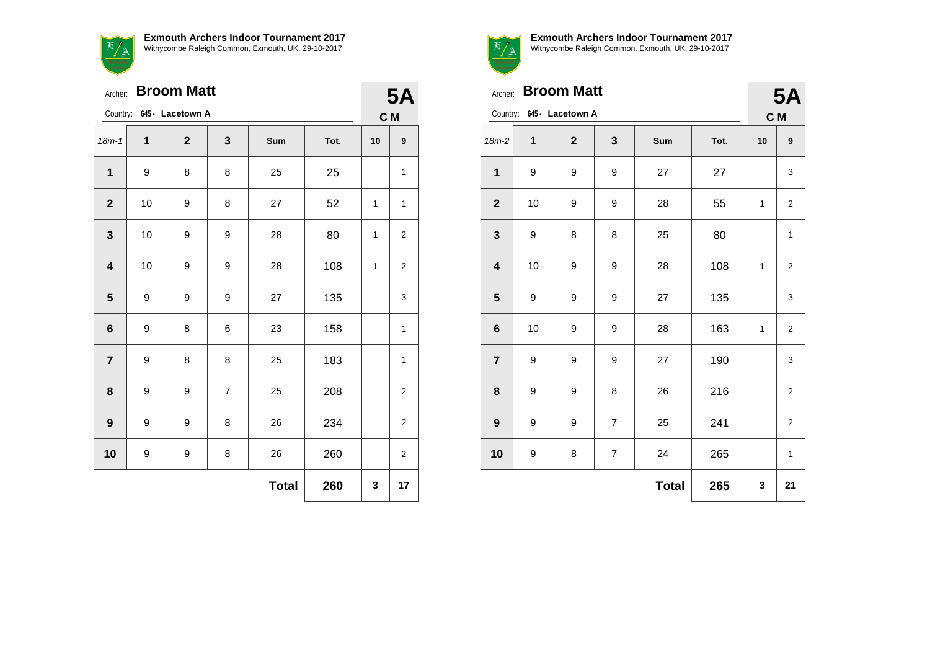

|                         | <b>Broom Matt</b><br>Archer: |                           |                |              |      |    |                  |  |
|-------------------------|------------------------------|---------------------------|----------------|--------------|------|----|------------------|--|
|                         |                              | Country: 645 - Lacetown A |                |              |      |    | <b>5A</b><br>C M |  |
| $18m - 1$               | 1                            | $\overline{2}$            | 3              | Sum          | Tot. | 10 | $\boldsymbol{9}$ |  |
| 1                       | 9                            | 8                         | 8              | 25           | 25   |    | $\mathbf{1}$     |  |
| $\mathbf{2}$            | 10                           | 9                         | 8              | 27           | 52   | 1  | $\mathbf{1}$     |  |
| $\mathbf{3}$            | 10                           | 9                         | 9              | 28           | 80   | 1  | 2                |  |
| $\overline{\mathbf{4}}$ | 10                           | 9                         | 9              | 28           | 108  | 1  | 2                |  |
| $5\phantom{1}$          | 9                            | 9                         | 9              | 27           | 135  |    | 3                |  |
| $\bf 6$                 | 9                            | 8                         | 6              | 23           | 158  |    | 1                |  |
| $\overline{7}$          | 9                            | 8                         | 8              | 25           | 183  |    | 1                |  |
| 8                       | 9                            | 9                         | $\overline{7}$ | 25           | 208  |    | $\overline{c}$   |  |
| $\boldsymbol{9}$        | 9                            | 9                         | 8              | 26           | 234  |    | 2                |  |
| 10                      | 9                            | 9                         | 8              | 26           | 260  |    | $\overline{2}$   |  |
|                         |                              |                           |                | <b>Total</b> | 260  | 3  | 17               |  |



| Archer:                 |    | <b>Broom Matt</b>         |                |              |      | <b>5A</b>    |                         |
|-------------------------|----|---------------------------|----------------|--------------|------|--------------|-------------------------|
|                         |    | Country: 645 - Lacetown A |                |              |      |              | C M                     |
| $18m-2$                 | 1  | $\overline{2}$            | 3              | Sum          | Tot. | 10           | 9                       |
| 1                       | 9  | 9                         | 9              | 27           | 27   |              | 3                       |
| $\mathbf{2}$            | 10 | 9                         | 9              | 28           | 55   | $\mathbf{1}$ | 2                       |
| $\mathbf{3}$            | 9  | 8                         | 8              | 25           | 80   |              | $\mathbf{1}$            |
| $\overline{\mathbf{4}}$ | 10 | 9                         | 9              | 28           | 108  | 1            | $\overline{2}$          |
| $\overline{\mathbf{5}}$ | 9  | 9                         | 9              | 27           | 135  |              | 3                       |
| $\bf 6$                 | 10 | 9                         | 9              | 28           | 163  | $\mathbf{1}$ | $\overline{\mathbf{c}}$ |
| $\overline{7}$          | 9  | 9                         | 9              | 27           | 190  |              | 3                       |
| 8                       | 9  | 9                         | 8              | 26           | 216  |              | $\overline{2}$          |
| $\boldsymbol{9}$        | 9  | 9                         | $\overline{7}$ | 25           | 241  |              | $\overline{\mathbf{c}}$ |
| 10                      | 9  | 8                         | $\overline{7}$ | 24           | 265  |              | 1                       |
|                         |    |                           |                | <b>Total</b> | 265  | 3            | 21                      |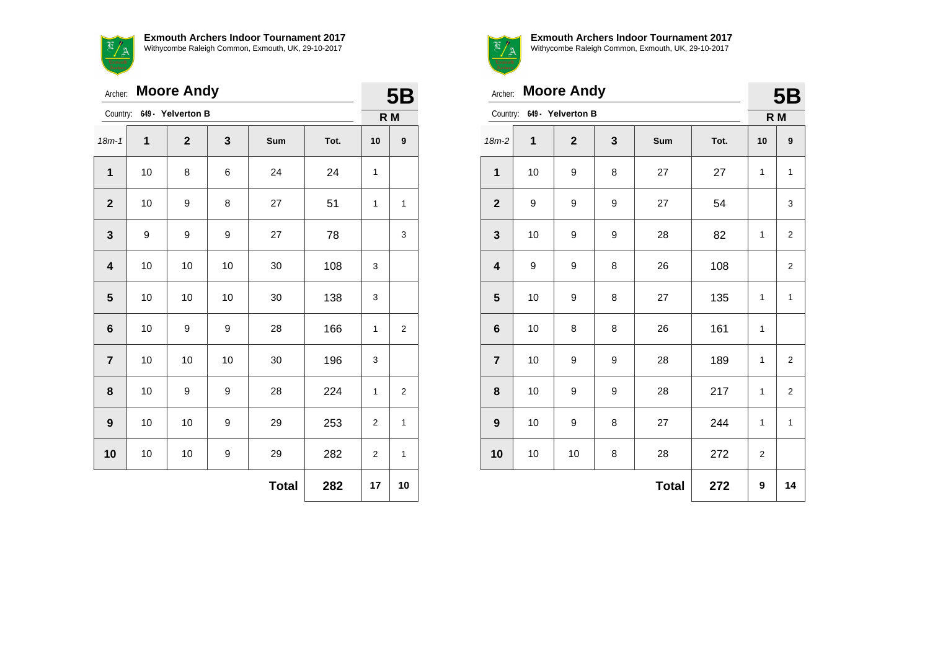$\frac{f}{f}$ 

**Exmouth Archers Indoor Tournament 2017** Withycombe Raleigh Common, Exmouth, UK, 29-10-2017

|                         | <b>Moore Andy</b><br>Archer: |                   |    |              |      |                |                         |  |
|-------------------------|------------------------------|-------------------|----|--------------|------|----------------|-------------------------|--|
| Country:                |                              | 649 - Yelverton B |    |              |      |                | <b>5B</b><br>R M        |  |
| $18m - 1$               | 1                            | $\mathbf{2}$      | 3  | Sum          | Tot. | 10             | 9                       |  |
| 1                       | 10                           | 8                 | 6  | 24           | 24   | $\mathbf{1}$   |                         |  |
| $\mathbf{2}$            | 10                           | 9                 | 8  | 27           | 51   | $\mathbf{1}$   | $\mathbf{1}$            |  |
| $\mathbf{3}$            | 9                            | 9                 | 9  | 27           | 78   |                | 3                       |  |
| $\overline{\mathbf{4}}$ | 10                           | 10                | 10 | 30           | 108  | 3              |                         |  |
| 5                       | 10                           | 10                | 10 | 30           | 138  | 3              |                         |  |
| $6\phantom{1}6$         | 10                           | 9                 | 9  | 28           | 166  | 1              | $\overline{\mathbf{c}}$ |  |
| $\overline{7}$          | 10                           | 10                | 10 | 30           | 196  | 3              |                         |  |
| 8                       | 10                           | 9                 | 9  | 28           | 224  | 1              | $\overline{\mathbf{c}}$ |  |
| 9                       | 10                           | 10                | 9  | 29           | 253  | $\overline{c}$ | 1                       |  |
| 10                      | 10                           | 10                | 9  | 29           | 282  | $\overline{c}$ | 1                       |  |
|                         |                              |                   |    | <b>Total</b> | 282  | 17             | 10                      |  |
|                         |                              |                   |    |              |      |                |                         |  |



**Exmouth Archers Indoor Tournament 2017**

Withycombe Raleigh Common, Exmouth, UK, 29-10-2017

| Archer:                 |                | <b>Moore Andy</b>          |   |              |      | <b>5B</b>      |                         |
|-------------------------|----------------|----------------------------|---|--------------|------|----------------|-------------------------|
|                         |                | Country: 649 - Yelverton B |   |              |      |                | R M                     |
| 18m-2                   | $\overline{1}$ | $\mathbf{2}$               | 3 | Sum          | Tot. | 10             | 9                       |
| $\mathbf 1$             | 10             | 9                          | 8 | 27           | 27   | 1              | $\mathbf{1}$            |
| $\mathbf{2}$            | 9              | 9                          | 9 | 27           | 54   |                | 3                       |
| $\mathbf 3$             | 10             | 9                          | 9 | 28           | 82   | $\mathbf{1}$   | $\overline{2}$          |
| 4                       | 9              | 9                          | 8 | 26           | 108  |                | 2                       |
| $\overline{\mathbf{5}}$ | 10             | 9                          | 8 | 27           | 135  | 1              | $\mathbf{1}$            |
| $6\phantom{1}6$         | 10             | 8                          | 8 | 26           | 161  | 1              |                         |
| $\overline{7}$          | 10             | 9                          | 9 | 28           | 189  | $\mathbf{1}$   | $\overline{2}$          |
| 8                       | 10             | 9                          | 9 | 28           | 217  | 1              | $\overline{\mathbf{c}}$ |
| $\boldsymbol{9}$        | 10             | 9                          | 8 | 27           | 244  | 1              | $\mathbf{1}$            |
| 10                      | 10             | 10                         | 8 | 28           | 272  | $\overline{2}$ |                         |
|                         |                |                            |   | <b>Total</b> | 272  | 9              | 14                      |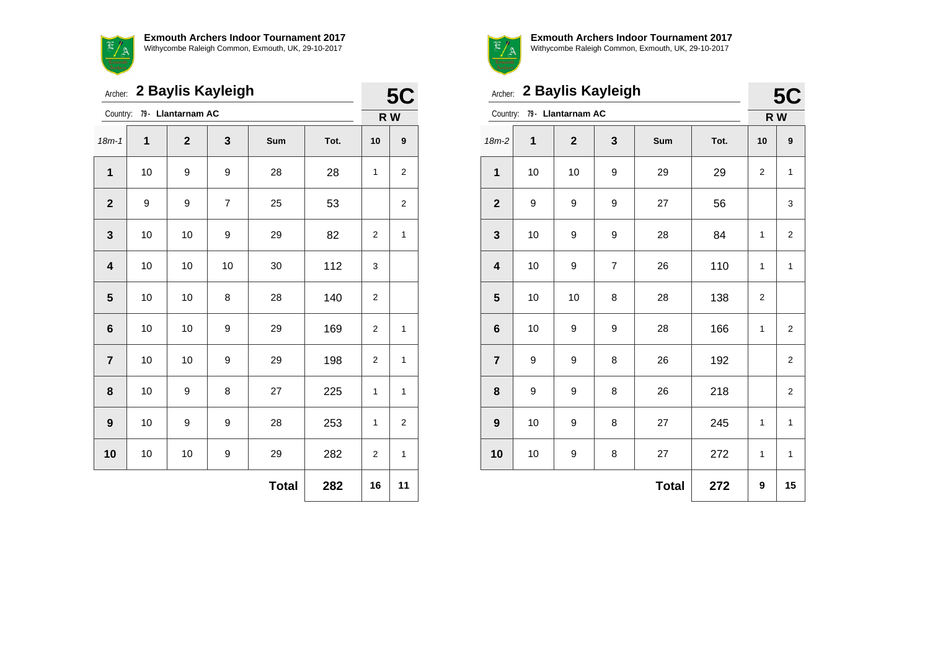

|                         | 2 Baylis Kayleigh<br>Archer: |                    |    |              |      |                |              |  |
|-------------------------|------------------------------|--------------------|----|--------------|------|----------------|--------------|--|
| Country:                |                              | 79 - Llantarnam AC |    |              |      | R W            |              |  |
| $18m - 1$               | 1                            | $\overline{2}$     | 3  | Sum          | Tot. | 10             | 9            |  |
| 1                       | 10                           | 9                  | 9  | 28           | 28   | 1              | 2            |  |
| $\overline{2}$          | 9                            | 9                  | 7  | 25           | 53   |                | 2            |  |
| $\mathbf 3$             | 10                           | 10                 | 9  | 29           | 82   | $\overline{2}$ | $\mathbf{1}$ |  |
| $\overline{\mathbf{4}}$ | 10                           | 10                 | 10 | 30           | 112  | 3              |              |  |
| 5                       | 10                           | 10                 | 8  | 28           | 140  | $\overline{2}$ |              |  |
| $\bf 6$                 | 10                           | 10                 | 9  | 29           | 169  | 2              | $\mathbf{1}$ |  |
| $\overline{7}$          | 10                           | 10                 | 9  | 29           | 198  | 2              | 1            |  |
| 8                       | 10                           | 9                  | 8  | 27           | 225  | 1              | $\mathbf{1}$ |  |
| 9                       | 10                           | 9                  | 9  | 28           | 253  | 1              | 2            |  |
| 10                      | 10                           | 10                 | 9  | 29           | 282  | $\overline{2}$ | 1            |  |
|                         |                              |                    |    | <b>Total</b> | 282  | 16             | 11           |  |



|                         | Archer: 2 Baylis Kayleigh |                             |                |              |      |     |                  |  |
|-------------------------|---------------------------|-----------------------------|----------------|--------------|------|-----|------------------|--|
|                         |                           | Country: 79 - Llantarnam AC |                |              |      | R W |                  |  |
| $18m-2$                 | $\mathbf{1}$              | $\overline{2}$              | 3              | Sum          | Tot. | 10  | $\boldsymbol{9}$ |  |
| 1                       | 10                        | 10                          | 9              | 29           | 29   | 2   | $\mathbf{1}$     |  |
| $\mathbf{2}$            | 9                         | 9                           | 9              | 27           | 56   |     | 3                |  |
| $\mathbf{3}$            | 10                        | 9                           | 9              | 28           | 84   | 1   | 2                |  |
| $\overline{\mathbf{4}}$ | 10                        | 9                           | $\overline{7}$ | 26           | 110  | 1   | $\mathbf{1}$     |  |
| 5                       | 10                        | 10                          | 8              | 28           | 138  | 2   |                  |  |
| $6\phantom{1}$          | 10                        | 9                           | 9              | 28           | 166  | 1   | $\overline{2}$   |  |
| $\overline{7}$          | 9                         | 9                           | 8              | 26           | 192  |     | 2                |  |
| 8                       | 9                         | 9                           | 8              | 26           | 218  |     | 2                |  |
| $\boldsymbol{9}$        | 10                        | 9                           | 8              | 27           | 245  | 1   | $\mathbf{1}$     |  |
| 10                      | 10                        | 9                           | 8              | 27           | 272  | 1   | $\mathbf{1}$     |  |
|                         |                           |                             |                | <b>Total</b> | 272  | 9   | 15               |  |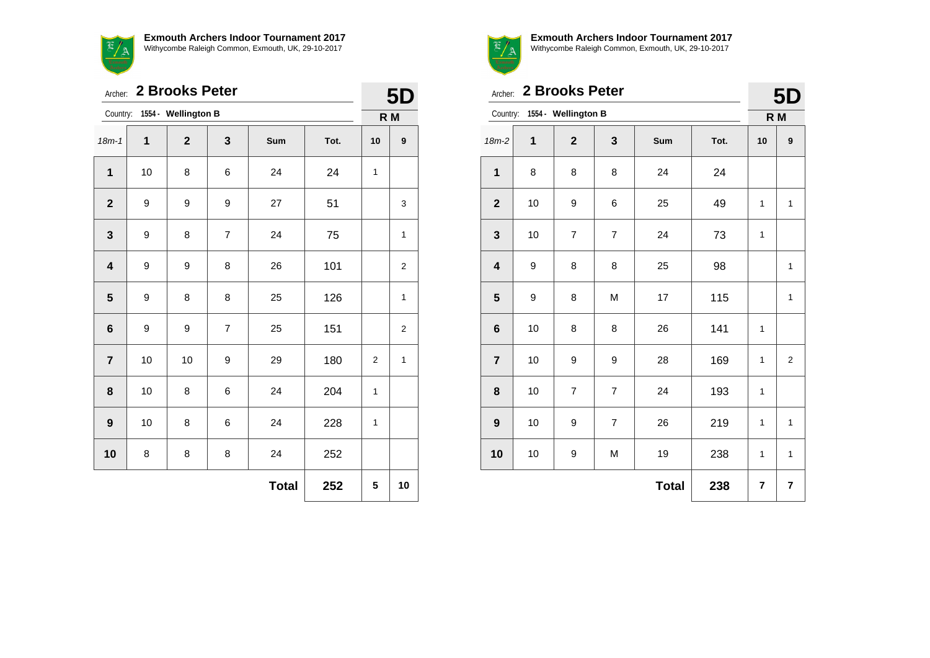

Archer: **2 Brooks Peter**

|                | Archer: 2 Brooks Peter |                     |                |              |      |                |                         |  |
|----------------|------------------------|---------------------|----------------|--------------|------|----------------|-------------------------|--|
| Country:       |                        | 1554 - Wellington B |                |              |      | R M            |                         |  |
| $18m - 1$      | 1                      | $\overline{2}$      | 3              | Sum          | Tot. | 10             | $\boldsymbol{9}$        |  |
| $\mathbf{1}$   | 10                     | 8                   | 6              | 24           | 24   | 1              |                         |  |
| $\overline{2}$ | 9                      | 9                   | 9              | 27           | 51   |                | 3                       |  |
| 3              | 9                      | 8                   | $\overline{7}$ | 24           | 75   |                | $\mathbf{1}$            |  |
| 4              | 9                      | 9                   | 8              | 26           | 101  |                | 2                       |  |
| 5              | 9                      | 8                   | 8              | 25           | 126  |                | 1                       |  |
| 6              | 9                      | 9                   | 7              | 25           | 151  |                | $\overline{\mathbf{c}}$ |  |
| $\overline{7}$ | 10                     | 10                  | 9              | 29           | 180  | $\overline{2}$ | $\mathbf{1}$            |  |
| 8              | 10                     | 8                   | 6              | 24           | 204  | 1              |                         |  |
| 9              | 10                     | 8                   | 6              | 24           | 228  | 1              |                         |  |
| 10             | 8                      | 8                   | 8              | 24           | 252  |                |                         |  |
|                |                        |                     |                | <b>Total</b> | 252  | 5              | 10                      |  |



|                         | 2 Brooks Peter<br>Archer: |                              |                |              |      |              |                         |  |
|-------------------------|---------------------------|------------------------------|----------------|--------------|------|--------------|-------------------------|--|
|                         |                           | Country: 1554 - Wellington B |                |              |      |              | 5D<br>R <sub>M</sub>    |  |
| $18m-2$                 | 1                         | $\overline{2}$               | 3              | Sum          | Tot. | 10           | 9                       |  |
| $\mathbf{1}$            | 8                         | 8                            | 8              | 24           | 24   |              |                         |  |
| $\mathbf{2}$            | 10                        | 9                            | 6              | 25           | 49   | $\mathbf{1}$ | $\mathbf{1}$            |  |
| $\mathbf{3}$            | 10                        | $\overline{7}$               | $\overline{7}$ | 24           | 73   | $\mathbf{1}$ |                         |  |
| $\overline{\mathbf{4}}$ | 9                         | 8                            | 8              | 25           | 98   |              | $\mathbf{1}$            |  |
| 5                       | 9                         | 8                            | M              | 17           | 115  |              | $\mathbf{1}$            |  |
| $\bf 6$                 | 10                        | 8                            | 8              | 26           | 141  | $\mathbf{1}$ |                         |  |
| $\overline{7}$          | 10                        | 9                            | 9              | 28           | 169  | $\mathbf{1}$ | $\overline{\mathbf{c}}$ |  |
| 8                       | 10                        | $\overline{7}$               | $\overline{7}$ | 24           | 193  | $\mathbf{1}$ |                         |  |
| $\boldsymbol{9}$        | 10                        | 9                            | $\overline{7}$ | 26           | 219  | $\mathbf{1}$ | $\mathbf{1}$            |  |
| 10                      | 10                        | 9                            | M              | 19           | 238  | $\mathbf{1}$ | $\mathbf{1}$            |  |
|                         |                           |                              |                | <b>Total</b> | 238  | 7            | 7                       |  |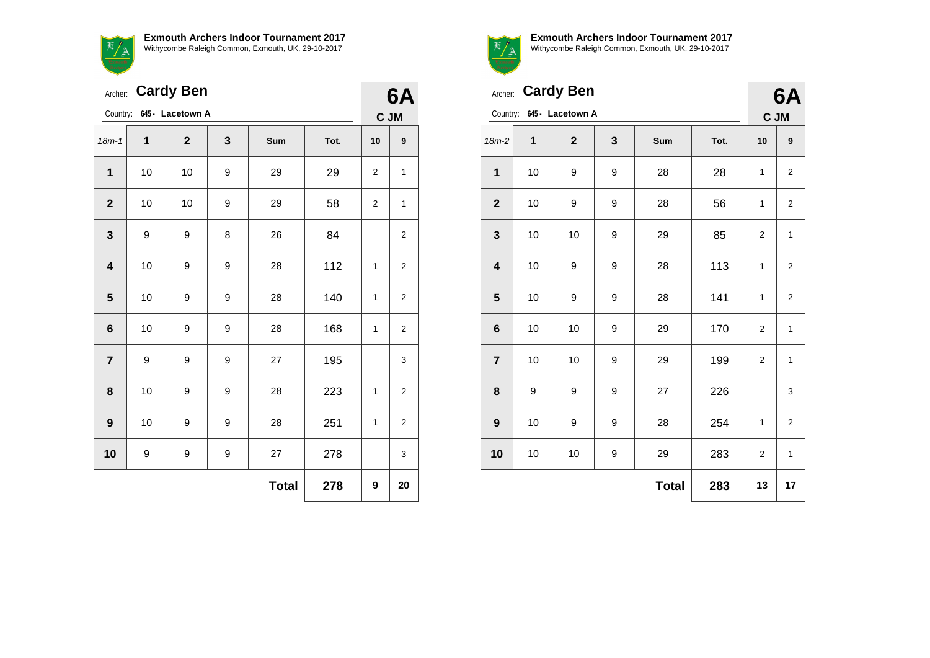E/A

**Exmouth Archers Indoor Tournament 2017** Withycombe Raleigh Common, Exmouth, UK, 29-10-2017

|                         |    | Archer: Cardy Ben |   |              |      | 6A             |                  |
|-------------------------|----|-------------------|---|--------------|------|----------------|------------------|
| Country:                |    | 645 - Lacetown A  |   |              |      | C JM           |                  |
| $18m - 1$               | 1  | $\mathbf{2}$      | 3 | Sum          | Tot. | 10             | $\boldsymbol{9}$ |
| 1                       | 10 | 10                | 9 | 29           | 29   | $\overline{2}$ | $\mathbf{1}$     |
| $\mathbf{2}$            | 10 | 10                | 9 | 29           | 58   | 2              | $\mathbf{1}$     |
| $\mathbf{3}$            | 9  | 9                 | 8 | 26           | 84   |                | $\overline{c}$   |
| $\overline{\mathbf{4}}$ | 10 | 9                 | 9 | 28           | 112  | $\mathbf{1}$   | $\overline{c}$   |
| 5                       | 10 | 9                 | 9 | 28           | 140  | $\mathbf{1}$   | 2                |
| $6\phantom{1}6$         | 10 | 9                 | 9 | 28           | 168  | $\mathbf{1}$   | $\overline{2}$   |
| $\overline{7}$          | 9  | 9                 | 9 | 27           | 195  |                | 3                |
| 8                       | 10 | 9                 | 9 | 28           | 223  | $\mathbf{1}$   | 2                |
| 9                       | 10 | 9                 | 9 | 28           | 251  | $\mathbf{1}$   | $\overline{2}$   |
| 10                      | 9  | 9                 | 9 | 27           | 278  |                | 3                |
|                         |    |                   |   | <b>Total</b> | 278  | 9              | 20               |
|                         |    |                   |   |              |      |                |                  |



**Exmouth Archers Indoor Tournament 2017** Withycombe Raleigh Common, Exmouth, UK, 29-10-2017

**6A** 

| Archer:                 |    | <b>Cardy Ben</b>          |   |              |      |                | 6A                      |
|-------------------------|----|---------------------------|---|--------------|------|----------------|-------------------------|
|                         |    | Country: 645 - Lacetown A |   |              |      |                | C JM                    |
| $18m-2$                 | 1  | $\overline{2}$            | 3 | Sum          | Tot. | 10             | 9                       |
| 1                       | 10 | 9                         | 9 | 28           | 28   | 1              | $\overline{2}$          |
| $\overline{2}$          | 10 | 9                         | 9 | 28           | 56   | $\mathbf{1}$   | $\overline{\mathbf{c}}$ |
| $\mathbf{3}$            | 10 | 10                        | 9 | 29           | 85   | 2              | $\mathbf{1}$            |
| $\overline{\mathbf{4}}$ | 10 | 9                         | 9 | 28           | 113  | 1              | $\overline{2}$          |
| 5                       | 10 | 9                         | 9 | 28           | 141  | $\mathbf{1}$   | $\overline{\mathbf{c}}$ |
| $6\phantom{1}$          | 10 | 10                        | 9 | 29           | 170  | $\overline{2}$ | 1                       |
| $\overline{7}$          | 10 | 10                        | 9 | 29           | 199  | $\overline{2}$ | $\mathbf 1$             |
| 8                       | 9  | 9                         | 9 | 27           | 226  |                | 3                       |
| $\boldsymbol{9}$        | 10 | 9                         | 9 | 28           | 254  | 1              | $\overline{2}$          |
| 10                      | 10 | 10                        | 9 | 29           | 283  | $\overline{2}$ | 1                       |
|                         |    |                           |   | <b>Total</b> | 283  | 13             | 17                      |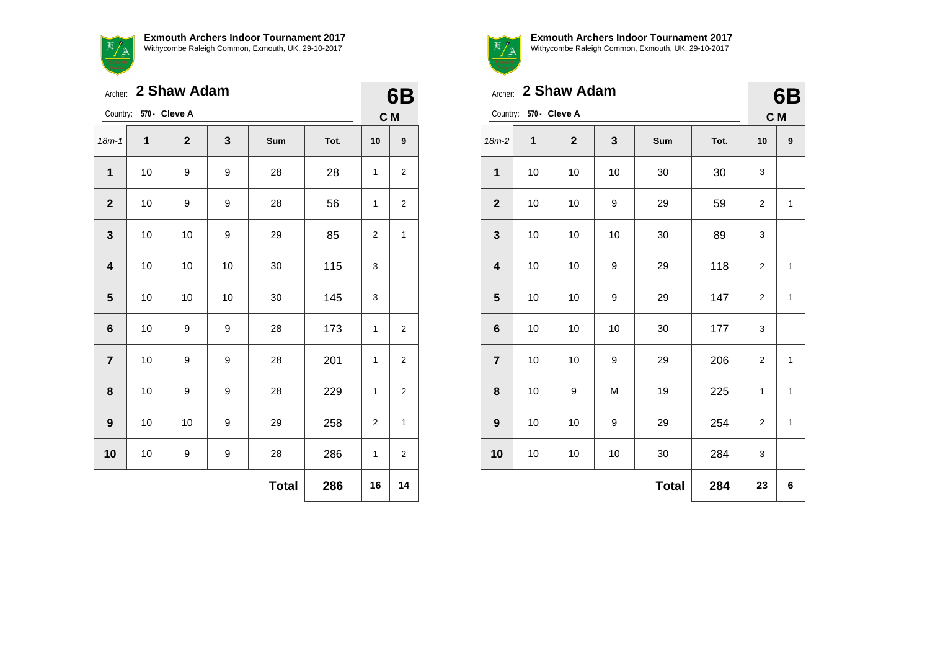

Archer: **2 Shaw Adam** Country: **570 - Cleve A 6B C M** 18m-1 **1 2 3 Sum Tot. 10 9 1** | 10 | 9 | 9 | 28 | 28 | 1 | 2 **2** | 10 | 9 | 9 | 28 | 56 | 1 | 2 **3** | 10 | 10 | 9 | 29 | 85 | 2 | 1 **4** | 10 | 10 | 10 | 30 | 115 | 3 **5** | 10 | 10 | 30 | 145 | 3 **6** | 10 | 9 | 9 | 28 | 173 | 1 | 2 **7** | 10 | 9 | 9 | 28 | 201 | 1 | 2

**8** | 10 | 9 | 9 | 28 | 229 | 1 | 2

**9** | 10 | 10 | 9 | 29 | 258 | 2 | 1

**10** | 10 | 9 | 9 | 28 | 286 | 1 | 2

**Total 286 16 14**



**Exmouth Archers Indoor Tournament 2017** Withycombe Raleigh Common, Exmouth, UK, 29-10-2017

|                         |                        | Archer: 2 Shaw Adam |    |              |      |                | Β<br>61      |
|-------------------------|------------------------|---------------------|----|--------------|------|----------------|--------------|
|                         | Country: 570 - Cleve A |                     |    |              |      |                | C M          |
| $18m-2$                 | 1                      | $\mathbf{2}$        | 3  | Sum          | Tot. | 10             | 9            |
| $\mathbf 1$             | 10                     | 10                  | 10 | 30           | 30   | 3              |              |
| $\mathbf{2}$            | 10                     | 10                  | 9  | 29           | 59   | $\overline{2}$ | 1            |
| 3                       | 10                     | 10                  | 10 | 30           | 89   | 3              |              |
| $\overline{\mathbf{4}}$ | 10                     | 10                  | 9  | 29           | 118  | $\overline{2}$ | 1            |
| 5                       | 10                     | 10                  | 9  | 29           | 147  | 2              | 1            |
| $6\phantom{1}$          | 10                     | 10                  | 10 | 30           | 177  | 3              |              |
| $\overline{7}$          | 10                     | 10                  | 9  | 29           | 206  | 2              | $\mathbf{1}$ |
| 8                       | 10                     | 9                   | M  | 19           | 225  | 1              | 1            |
| 9                       | 10                     | 10                  | 9  | 29           | 254  | 2              | 1            |
| 10                      | 10                     | 10                  | 10 | 30           | 284  | 3              |              |
|                         |                        |                     |    | <b>Total</b> | 284  | 23             | 6            |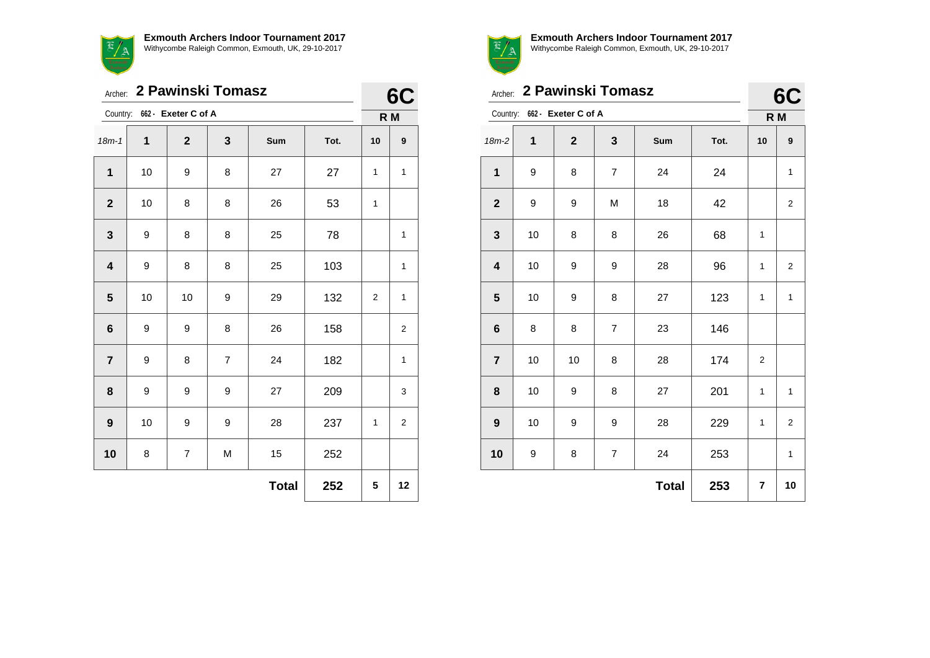

Archer: **2 Pawinski Tomasz**

|                         |      | Country: 662 - Exeter C of A |   |              |      | R M          |                         |
|-------------------------|------|------------------------------|---|--------------|------|--------------|-------------------------|
| $18m - 1$               | 1    | $\mathbf{2}$                 | 3 | Sum          | Tot. | 10           | $\boldsymbol{9}$        |
| $\mathbf{1}$            | $10$ | 9                            | 8 | 27           | 27   | 1            | 1                       |
| $\boldsymbol{2}$        | $10$ | 8                            | 8 | 26           | 53   | $\mathbf{1}$ |                         |
| $\mathbf{3}$            | 9    | 8                            | 8 | 25           | 78   |              | $\mathbf{1}$            |
| $\overline{\mathbf{4}}$ | 9    | 8                            | 8 | 25           | 103  |              | $\mathbf{1}$            |
| $5\phantom{1}$          | 10   | 10                           | 9 | 29           | 132  | 2            | $\mathbf{1}$            |
| $\bf 6$                 | 9    | 9                            | 8 | 26           | 158  |              | $\mathbf 2$             |
| $\overline{7}$          | 9    | 8                            | 7 | 24           | 182  |              | 1                       |
| 8                       | 9    | 9                            | 9 | 27           | 209  |              | 3                       |
| $\boldsymbol{9}$        | $10$ | 9                            | 9 | 28           | 237  | 1            | $\overline{\mathbf{c}}$ |
| 10                      | 8    | $\overline{7}$               | M | 15           | 252  |              |                         |
|                         |      |                              |   | <b>Total</b> | 252  | 5            | 12                      |



**6C**

**Exmouth Archers Indoor Tournament 2017** Withycombe Raleigh Common, Exmouth, UK, 29-10-2017

 $\sim$ 

|                         |    | Archer: 2 Pawinski Tomasz    |                |              |      |                         | 6C                      |
|-------------------------|----|------------------------------|----------------|--------------|------|-------------------------|-------------------------|
|                         |    | Country: 662 - Exeter C of A |                |              |      |                         | R M                     |
| $18m-2$                 | 1  | $\overline{2}$               | 3              | Sum          | Tot. | 10                      | 9                       |
| $\mathbf{1}$            | 9  | 8                            | $\overline{7}$ | 24           | 24   |                         | $\mathbf{1}$            |
| $\mathbf{2}$            | 9  | 9                            | M              | 18           | 42   |                         | $\overline{\mathbf{c}}$ |
| 3                       | 10 | 8                            | 8              | 26           | 68   | $\mathbf{1}$            |                         |
| $\overline{\mathbf{4}}$ | 10 | 9                            | 9              | 28           | 96   | 1                       | $\overline{\mathbf{c}}$ |
| 5                       | 10 | 9                            | 8              | 27           | 123  | 1                       | $\mathbf{1}$            |
| 6                       | 8  | 8                            | $\overline{7}$ | 23           | 146  |                         |                         |
| $\overline{7}$          | 10 | 10                           | 8              | 28           | 174  | $\overline{\mathbf{c}}$ |                         |
| 8                       | 10 | 9                            | 8              | 27           | 201  | $\mathbf{1}$            | $\mathbf{1}$            |
| 9                       | 10 | 9                            | 9              | 28           | 229  | $\mathbf{1}$            | $\overline{\mathbf{c}}$ |
| 10                      | 9  | 8                            | $\overline{7}$ | 24           | 253  |                         | $\mathbf{1}$            |
|                         |    |                              |                | <b>Total</b> | 253  | $\overline{7}$          | 10                      |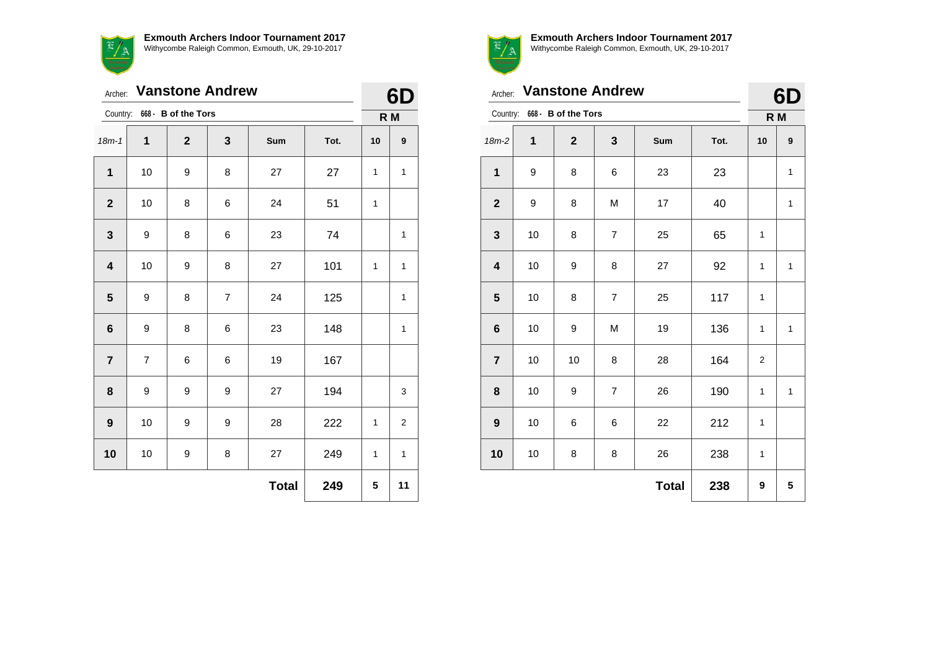

Archer: **Vanstone Andrew**

|                         |                  |                     | Archer: Vanstone Andrew |              |      | 6D  |              |
|-------------------------|------------------|---------------------|-------------------------|--------------|------|-----|--------------|
| Country:                |                  | 668 - B of the Tors |                         |              |      | R M |              |
| $18m - 1$               | 1                | $\mathbf{2}$        | 3                       | <b>Sum</b>   | Tot. | 10  | 9            |
| 1                       | 10               | 9                   | 8                       | 27           | 27   | 1   | 1            |
| $\mathbf{2}$            | 10               | 8                   | 6                       | 24           | 51   | 1   |              |
| $\mathbf{3}$            | $\boldsymbol{9}$ | 8                   | 6                       | 23           | 74   |     | $\mathbf{1}$ |
| $\overline{\mathbf{4}}$ | 10               | 9                   | 8                       | 27           | 101  | 1   | 1            |
| 5                       | 9                | 8                   | $\overline{7}$          | 24           | 125  |     | 1            |
| 6                       | 9                | 8                   | 6                       | 23           | 148  |     | 1            |
| $\overline{7}$          | $\overline{7}$   | 6                   | 6                       | 19           | 167  |     |              |
| 8                       | 9                | 9                   | 9                       | 27           | 194  |     | 3            |
| $\boldsymbol{9}$        | 10               | 9                   | 9                       | 28           | 222  | 1   | 2            |
| 10                      | 10               | 9                   | 8                       | 27           | 249  | 1   | 1            |
|                         |                  |                     |                         | <b>Total</b> | 249  | 5   | 11           |



| Archer:                 |    | <b>Vanstone Andrew</b>       |                |              |      | 6D             |              |
|-------------------------|----|------------------------------|----------------|--------------|------|----------------|--------------|
|                         |    | Country: 668 - B of the Tors |                |              |      | R M            |              |
| $18m-2$                 | 1  | $\mathbf{2}$                 | 3              | Sum          | Tot. | 10             | 9            |
| $\mathbf{1}$            | 9  | 8                            | 6              | 23           | 23   |                | 1            |
| $\mathbf{2}$            | 9  | 8                            | M              | 17           | 40   |                | 1            |
| $\mathbf{3}$            | 10 | 8                            | 7              | 25           | 65   | 1              |              |
| $\overline{\mathbf{4}}$ | 10 | 9                            | 8              | 27           | 92   | 1              | $\mathbf{1}$ |
| $5\phantom{1}$          | 10 | 8                            | $\overline{7}$ | 25           | 117  | 1              |              |
| $6\phantom{1}6$         | 10 | 9                            | M              | 19           | 136  | 1              | 1            |
| $\overline{7}$          | 10 | 10                           | 8              | 28           | 164  | $\overline{2}$ |              |
| 8                       | 10 | 9                            | 7              | 26           | 190  | 1              | $\mathbf{1}$ |
| 9                       | 10 | 6                            | 6              | 22           | 212  | $\mathbf{1}$   |              |
| 10                      | 10 | 8                            | 8              | 26           | 238  | 1              |              |
|                         |    |                              |                | <b>Total</b> | 238  | 9              | 5            |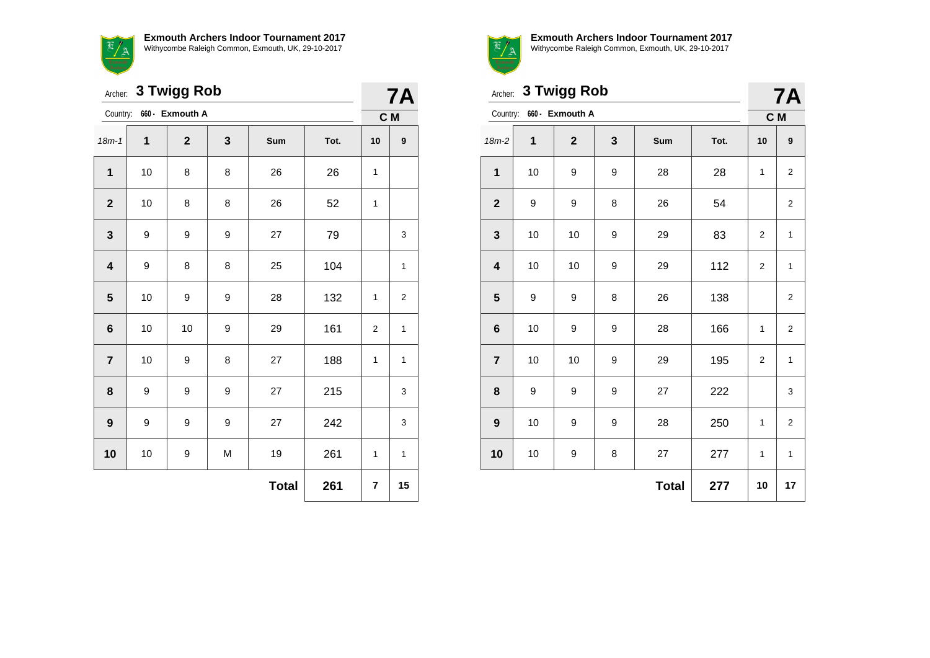蛋,

|                         |                  | Archer: 3 Twigg Rob |   |              |      |              | <b>7A</b>        |  |
|-------------------------|------------------|---------------------|---|--------------|------|--------------|------------------|--|
| Country:                |                  | 660 - Exmouth A     |   |              |      |              | C M              |  |
| $18m - 1$               | 1                | $\overline{2}$      | 3 | Sum          | Tot. | 10           | $\boldsymbol{9}$ |  |
| $\mathbf{1}$            | 10               | 8                   | 8 | 26           | 26   | 1            |                  |  |
| $\mathbf{2}$            | 10               | 8                   | 8 | 26           | 52   | 1            |                  |  |
| $\mathbf{3}$            | 9                | 9                   | 9 | 27           | 79   |              | 3                |  |
| $\overline{\mathbf{4}}$ | 9                | 8                   | 8 | 25           | 104  |              | 1                |  |
| 5                       | 10               | 9                   | 9 | 28           | 132  | $\mathbf{1}$ | $\overline{c}$   |  |
| 6                       | 10               | 10                  | 9 | 29           | 161  | 2            | 1                |  |
| $\overline{7}$          | 10               | 9                   | 8 | 27           | 188  | $\mathbf{1}$ | 1                |  |
| 8                       | 9                | 9                   | 9 | 27           | 215  |              | 3                |  |
| 9                       | $\boldsymbol{9}$ | 9                   | 9 | 27           | 242  |              | 3                |  |
| 10                      | 10               | 9                   | M | 19           | 261  | $\mathbf{1}$ | 1                |  |
|                         |                  |                     |   | <b>Total</b> | 261  | 7            | 15               |  |



**Exmouth Archers Indoor Tournament 2017** Withycombe Raleigh Common, Exmouth, UK, 29-10-2017

**7A**

|                         | <b>3 Twigg Rob</b><br>Archer: |                          |   |              |      |                | <b>7A</b>               |  |
|-------------------------|-------------------------------|--------------------------|---|--------------|------|----------------|-------------------------|--|
|                         |                               | Country: 660 - Exmouth A |   |              |      |                | C M                     |  |
| $18m-2$                 | 1                             | $\mathbf 2$              | 3 | Sum          | Tot. | 10             | $\boldsymbol{9}$        |  |
| $\mathbf{1}$            | 10                            | 9                        | 9 | 28           | 28   | 1              | $\overline{\mathbf{c}}$ |  |
| $\mathbf{2}$            | 9                             | 9                        | 8 | 26           | 54   |                | 2                       |  |
| 3                       | 10                            | 10                       | 9 | 29           | 83   | $\overline{2}$ | $\mathbf{1}$            |  |
| $\overline{\mathbf{4}}$ | 10                            | 10                       | 9 | 29           | 112  | $\overline{2}$ | $\mathbf{1}$            |  |
| 5                       | 9                             | 9                        | 8 | 26           | 138  |                | $\boldsymbol{2}$        |  |
| $\bf 6$                 | 10                            | 9                        | 9 | 28           | 166  | 1              | $\overline{2}$          |  |
| $\overline{7}$          | 10                            | 10                       | 9 | 29           | 195  | $\overline{2}$ | $\mathbf{1}$            |  |
| 8                       | 9                             | 9                        | 9 | 27           | 222  |                | 3                       |  |
| 9                       | 10                            | 9                        | 9 | 28           | 250  | 1              | 2                       |  |
| 10                      | 10                            | 9                        | 8 | 27           | 277  | 1              | $\mathbf{1}$            |  |
|                         |                               |                          |   | <b>Total</b> | 277  | 10             | 17                      |  |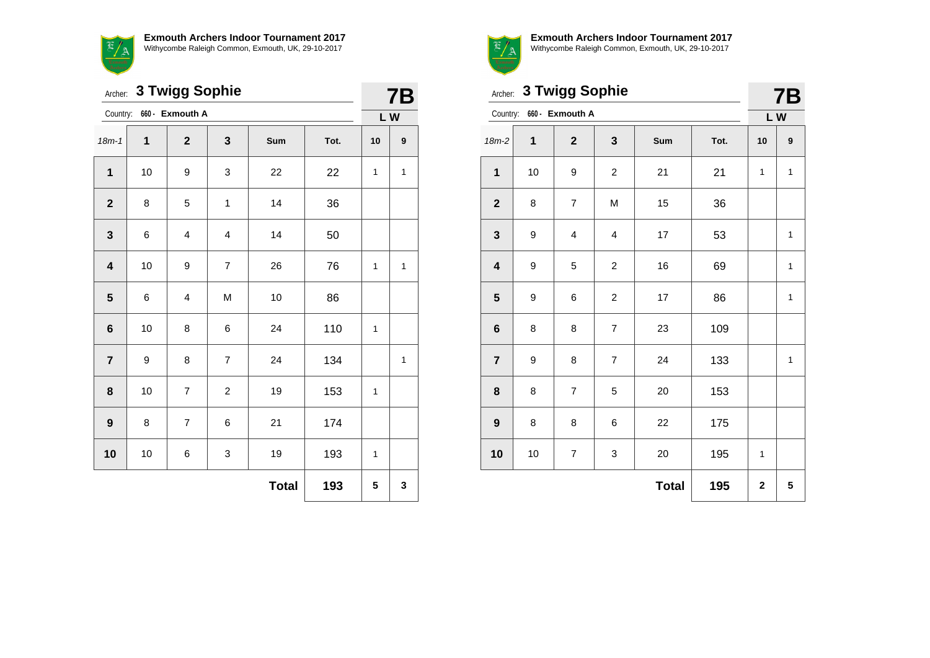**Exmouth Archers Indoor Tournament 2017**



Withycombe Raleigh Common, Exmouth, UK, 29-10-2017

|                         | 3 Twigg Sophie<br>Archer: |                 |                |              |      |    |              |  |
|-------------------------|---------------------------|-----------------|----------------|--------------|------|----|--------------|--|
| Country:                |                           | 660 - Exmouth A |                |              |      | LW |              |  |
| $18m - 1$               | 1                         | $\mathbf{2}$    | 3              | Sum          | Tot. | 10 | 9            |  |
| $\mathbf{1}$            | 10                        | 9               | 3              | 22           | 22   | 1  | $\mathbf{1}$ |  |
| $\mathbf 2$             | 8                         | 5               | 1              | 14           | 36   |    |              |  |
| $\mathbf{3}$            | 6                         | 4               | 4              | 14           | 50   |    |              |  |
| $\overline{\mathbf{4}}$ | 10                        | 9               | $\overline{7}$ | 26           | 76   | 1  | 1            |  |
| $\overline{\mathbf{5}}$ | 6                         | 4               | M              | 10           | 86   |    |              |  |
| 6                       | 10                        | 8               | 6              | 24           | 110  | 1  |              |  |
| $\overline{7}$          | 9                         | 8               | $\overline{7}$ | 24           | 134  |    | 1            |  |
| 8                       | 10                        | $\overline{7}$  | $\overline{c}$ | 19           | 153  | 1  |              |  |
| 9                       | 8                         | $\overline{7}$  | 6              | 21           | 174  |    |              |  |
| 10                      | 10                        | 6               | 3              | 19           | 193  | 1  |              |  |
|                         |                           |                 |                | <b>Total</b> | 193  | 5  | 3            |  |



|                         | Archer: 3 Twigg Sophie |                          |                |              |      |              |              |
|-------------------------|------------------------|--------------------------|----------------|--------------|------|--------------|--------------|
|                         |                        | Country: 660 - Exmouth A |                |              |      | LW           |              |
| $18m-2$                 | 1                      | $\mathbf{2}$             | 3              | Sum          | Tot. | 10           | 9            |
| $\mathbf{1}$            | 10                     | 9                        | $\overline{c}$ | 21           | 21   | $\mathbf{1}$ | $\mathbf{1}$ |
| $\mathbf{2}$            | 8                      | $\overline{7}$           | M              | 15           | 36   |              |              |
| 3                       | 9                      | $\overline{\mathbf{4}}$  | 4              | 17           | 53   |              | $\mathbf{1}$ |
| $\overline{\mathbf{4}}$ | 9                      | 5                        | $\overline{c}$ | 16           | 69   |              | 1            |
| ${\bf 5}$               | 9                      | 6                        | $\overline{c}$ | 17           | 86   |              | 1            |
| $\bf 6$                 | 8                      | 8                        | $\overline{7}$ | 23           | 109  |              |              |
| $\overline{7}$          | 9                      | 8                        | $\overline{7}$ | 24           | 133  |              | $\mathbf{1}$ |
| 8                       | 8                      | $\overline{7}$           | 5              | 20           | 153  |              |              |
| $\boldsymbol{9}$        | 8                      | 8                        | 6              | 22           | 175  |              |              |
| 10                      | 10                     | $\overline{7}$           | 3              | 20           | 195  | 1            |              |
|                         |                        |                          |                | <b>Total</b> | 195  | $\mathbf 2$  | 5            |